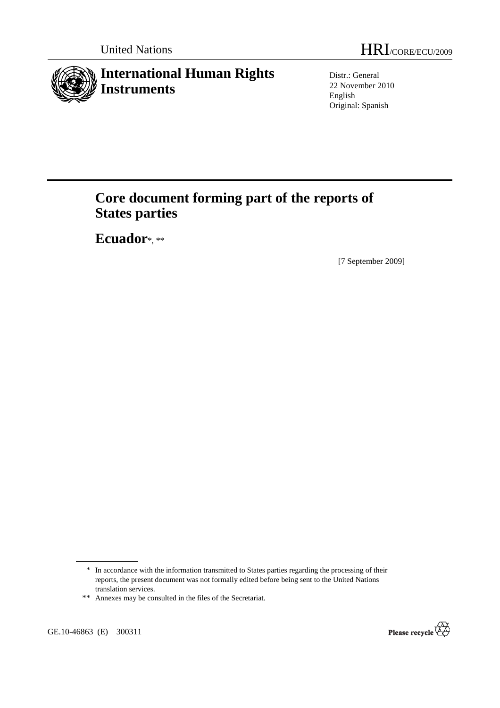

Distr.: General 22 November 2010 English Original: Spanish

# **Core document forming part of the reports of States parties**

 **Ecuador**\*, \*\*

[7 September 2009]

\*\* Annexes may be consulted in the files of the Secretariat.

GE.10-46863 (E) 300311



<sup>\*</sup> In accordance with the information transmitted to States parties regarding the processing of their reports, the present document was not formally edited before being sent to the United Nations translation services.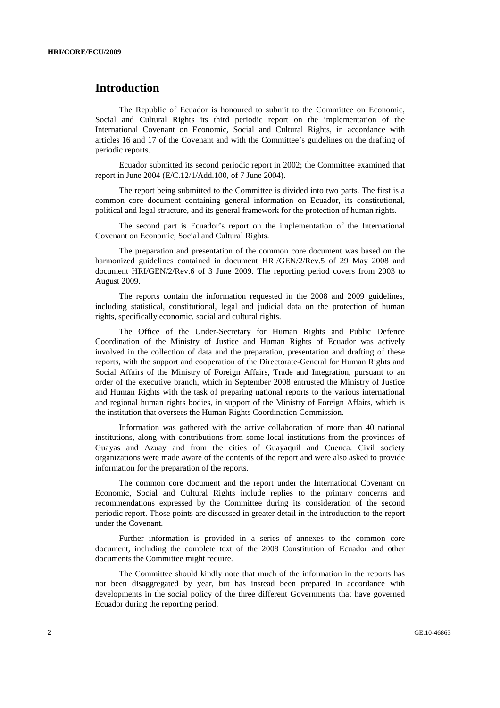## **Introduction**

 The Republic of Ecuador is honoured to submit to the Committee on Economic, Social and Cultural Rights its third periodic report on the implementation of the International Covenant on Economic, Social and Cultural Rights, in accordance with articles 16 and 17 of the Covenant and with the Committee's guidelines on the drafting of periodic reports.

 Ecuador submitted its second periodic report in 2002; the Committee examined that report in June 2004 (E/C.12/1/Add.100, of 7 June 2004).

 The report being submitted to the Committee is divided into two parts. The first is a common core document containing general information on Ecuador, its constitutional, political and legal structure, and its general framework for the protection of human rights.

 The second part is Ecuador's report on the implementation of the International Covenant on Economic, Social and Cultural Rights.

 The preparation and presentation of the common core document was based on the harmonized guidelines contained in document HRI/GEN/2/Rev.5 of 29 May 2008 and document HRI/GEN/2/Rev.6 of 3 June 2009. The reporting period covers from 2003 to August 2009.

 The reports contain the information requested in the 2008 and 2009 guidelines, including statistical, constitutional, legal and judicial data on the protection of human rights, specifically economic, social and cultural rights.

 The Office of the Under-Secretary for Human Rights and Public Defence Coordination of the Ministry of Justice and Human Rights of Ecuador was actively involved in the collection of data and the preparation, presentation and drafting of these reports, with the support and cooperation of the Directorate-General for Human Rights and Social Affairs of the Ministry of Foreign Affairs, Trade and Integration, pursuant to an order of the executive branch, which in September 2008 entrusted the Ministry of Justice and Human Rights with the task of preparing national reports to the various international and regional human rights bodies, in support of the Ministry of Foreign Affairs, which is the institution that oversees the Human Rights Coordination Commission.

 Information was gathered with the active collaboration of more than 40 national institutions, along with contributions from some local institutions from the provinces of Guayas and Azuay and from the cities of Guayaquil and Cuenca. Civil society organizations were made aware of the contents of the report and were also asked to provide information for the preparation of the reports.

 The common core document and the report under the International Covenant on Economic, Social and Cultural Rights include replies to the primary concerns and recommendations expressed by the Committee during its consideration of the second periodic report. Those points are discussed in greater detail in the introduction to the report under the Covenant.

 Further information is provided in a series of annexes to the common core document, including the complete text of the 2008 Constitution of Ecuador and other documents the Committee might require.

 The Committee should kindly note that much of the information in the reports has not been disaggregated by year, but has instead been prepared in accordance with developments in the social policy of the three different Governments that have governed Ecuador during the reporting period.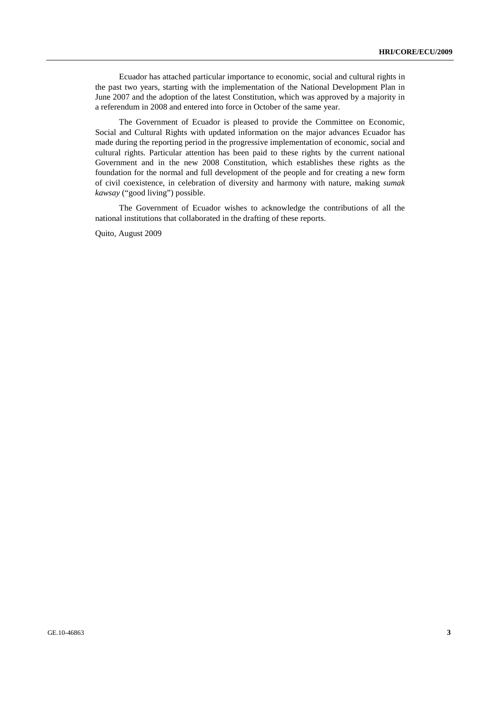Ecuador has attached particular importance to economic, social and cultural rights in the past two years, starting with the implementation of the National Development Plan in June 2007 and the adoption of the latest Constitution, which was approved by a majority in a referendum in 2008 and entered into force in October of the same year.

 The Government of Ecuador is pleased to provide the Committee on Economic, Social and Cultural Rights with updated information on the major advances Ecuador has made during the reporting period in the progressive implementation of economic, social and cultural rights. Particular attention has been paid to these rights by the current national Government and in the new 2008 Constitution, which establishes these rights as the foundation for the normal and full development of the people and for creating a new form of civil coexistence, in celebration of diversity and harmony with nature, making *sumak kawsay* ("good living") possible.

 The Government of Ecuador wishes to acknowledge the contributions of all the national institutions that collaborated in the drafting of these reports.

Quito, August 2009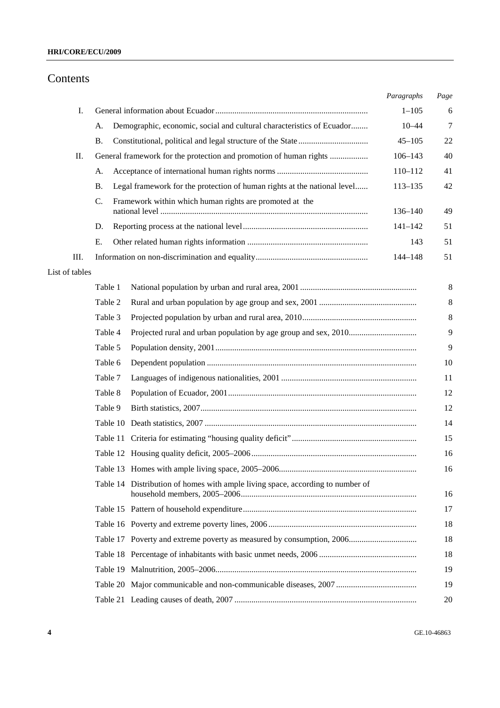# Contents

|                |           |                                                                                | Paragraphs  | Page    |
|----------------|-----------|--------------------------------------------------------------------------------|-------------|---------|
| I.             |           |                                                                                | $1 - 105$   | 6       |
|                | A.        | Demographic, economic, social and cultural characteristics of Ecuador          | $10 - 44$   | $\tau$  |
|                | <b>B.</b> |                                                                                | $45 - 105$  | 22      |
| П.             |           | General framework for the protection and promotion of human rights             | $106 - 143$ | 40      |
|                | A.        |                                                                                | 110-112     | 41      |
|                | <b>B.</b> | Legal framework for the protection of human rights at the national level       | $113 - 135$ | 42      |
|                | C.        | Framework within which human rights are promoted at the                        | 136-140     | 49      |
|                | D.        |                                                                                | $141 - 142$ | 51      |
|                | E.        |                                                                                | 143         | 51      |
| Ш.             |           |                                                                                | 144-148     | 51      |
| List of tables |           |                                                                                |             |         |
|                | Table 1   |                                                                                |             | 8       |
|                | Table 2   |                                                                                |             | $\,8\,$ |
|                | Table 3   |                                                                                |             | $\,8\,$ |
|                | Table 4   |                                                                                |             | 9       |
|                | Table 5   |                                                                                |             | 9       |
|                | Table 6   |                                                                                |             | 10      |
|                | Table 7   |                                                                                |             | 11      |
|                | Table 8   |                                                                                |             | 12      |
|                | Table 9   |                                                                                |             | 12      |
|                |           |                                                                                |             | 14      |
|                |           |                                                                                |             | 15      |
|                |           |                                                                                |             | 16      |
|                |           |                                                                                |             | 16      |
|                |           | Table 14 Distribution of homes with ample living space, according to number of |             | 16      |
|                |           |                                                                                |             | 17      |
|                |           |                                                                                |             | 18      |
|                |           |                                                                                |             | 18      |
|                |           |                                                                                |             | 18      |
|                |           |                                                                                |             | 19      |
|                |           |                                                                                |             | 19      |
|                |           |                                                                                |             | 20      |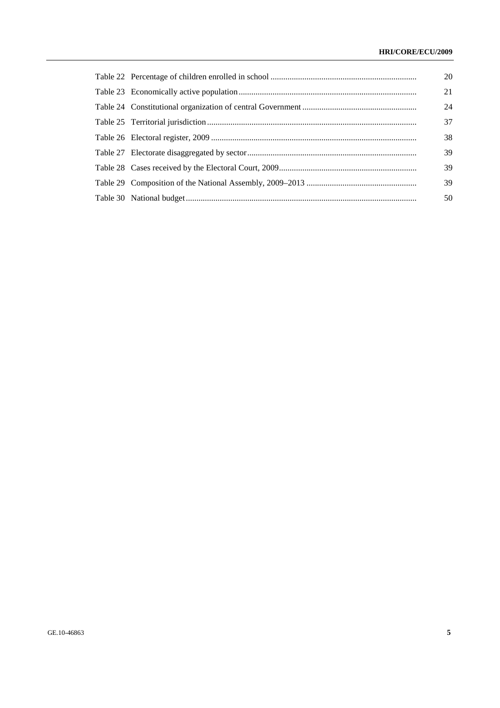### **HRI/CORE/ECU/2009**

|  | 20 |
|--|----|
|  | 21 |
|  | 24 |
|  | 37 |
|  | 38 |
|  | 39 |
|  | 39 |
|  | 39 |
|  | 50 |
|  |    |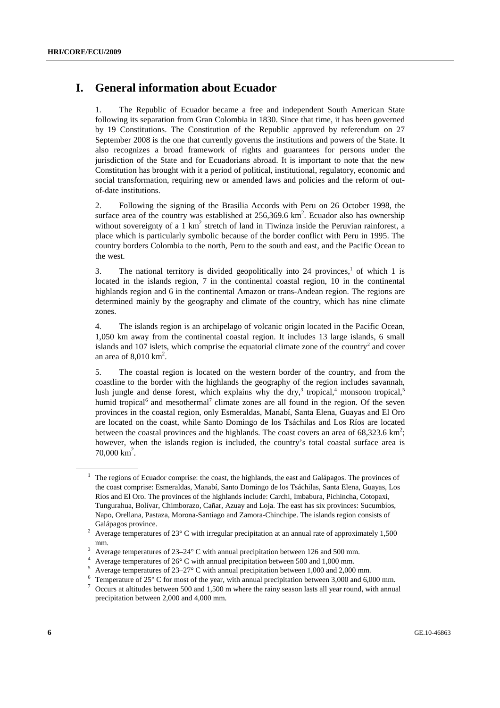# **I. General information about Ecuador**

1. The Republic of Ecuador became a free and independent South American State following its separation from Gran Colombia in 1830. Since that time, it has been governed by 19 Constitutions. The Constitution of the Republic approved by referendum on 27 September 2008 is the one that currently governs the institutions and powers of the State. It also recognizes a broad framework of rights and guarantees for persons under the jurisdiction of the State and for Ecuadorians abroad. It is important to note that the new Constitution has brought with it a period of political, institutional, regulatory, economic and social transformation, requiring new or amended laws and policies and the reform of outof-date institutions.

2. Following the signing of the Brasilia Accords with Peru on 26 October 1998, the surface area of the country was established at  $256,369.6 \text{ km}^2$ . Ecuador also has ownership without sovereignty of a 1  $km^2$  stretch of land in Tiwinza inside the Peruvian rainforest, a place which is particularly symbolic because of the border conflict with Peru in 1995. The country borders Colombia to the north, Peru to the south and east, and the Pacific Ocean to the west.

3. The national territory is divided geopolitically into 24 provinces,<sup>1</sup> of which 1 is located in the islands region, 7 in the continental coastal region, 10 in the continental highlands region and 6 in the continental Amazon or trans-Andean region. The regions are determined mainly by the geography and climate of the country, which has nine climate zones.

4. The islands region is an archipelago of volcanic origin located in the Pacific Ocean, 1,050 km away from the continental coastal region. It includes 13 large islands, 6 small islands and 107 islets, which comprise the equatorial climate zone of the country<sup>2</sup> and cover an area of  $8,010 \text{ km}^2$ .

5. The coastal region is located on the western border of the country, and from the coastline to the border with the highlands the geography of the region includes savannah, lush jungle and dense forest, which explains why the dry, $3$  tropical, $4$  monsoon tropical, $5$ humid tropical<sup>6</sup> and mesothermal<sup>7</sup> climate zones are all found in the region. Of the seven provinces in the coastal region, only Esmeraldas, Manabí, Santa Elena, Guayas and El Oro are located on the coast, while Santo Domingo de los Tsáchilas and Los Ríos are located between the coastal provinces and the highlands. The coast covers an area of  $68,323.6 \text{ km}^2$ ; however, when the islands region is included, the country's total coastal surface area is  $70,000 \text{ km}^2$ .

<sup>1</sup> The regions of Ecuador comprise: the coast, the highlands, the east and Galápagos. The provinces of the coast comprise: Esmeraldas, Manabí, Santo Domingo de los Tsáchilas, Santa Elena, Guayas, Los Ríos and El Oro. The provinces of the highlands include: Carchi, Imbabura, Pichincha, Cotopaxi, Tungurahua, Bolívar, Chimborazo, Cañar, Azuay and Loja. The east has six provinces: Sucumbíos, Napo, Orellana, Pastaza, Morona-Santiago and Zamora-Chinchipe. The islands region consists of Galápagos province.

Average temperatures of 23° C with irregular precipitation at an annual rate of approximately 1,500  $\sum_{3}$  mm.

Average temperatures of 23–24° C with annual precipitation between 126 and 500 mm.

<sup>4</sup> Average temperatures of 26° C with annual precipitation between 500 and 1,000 mm.

<sup>5</sup> Average temperatures of 23–27° C with annual precipitation between 1,000 and 2,000 mm.

<sup>&</sup>lt;sup>6</sup> Temperature of 25° C for most of the year, with annual precipitation between 3,000 and 6,000 mm.<br><sup>7</sup> Occurs at altitudes between 500 and 1,500 m where the rainy season lasts all year round, with annual

Occurs at altitudes between 500 and 1,500 m where the rainy season lasts all year round, with annual precipitation between 2,000 and 4,000 mm.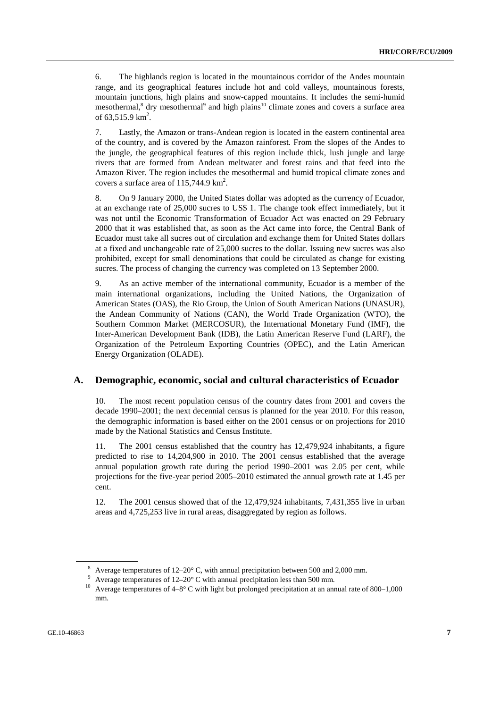6. The highlands region is located in the mountainous corridor of the Andes mountain range, and its geographical features include hot and cold valleys, mountainous forests, mountain junctions, high plains and snow-capped mountains. It includes the semi-humid mesothermal,<sup>8</sup> dry mesothermal<sup>9</sup> and high plains<sup>10</sup> climate zones and covers a surface area of  $63,515.9 \text{ km}^2$ .

7. Lastly, the Amazon or trans-Andean region is located in the eastern continental area of the country, and is covered by the Amazon rainforest. From the slopes of the Andes to the jungle, the geographical features of this region include thick, lush jungle and large rivers that are formed from Andean meltwater and forest rains and that feed into the Amazon River. The region includes the mesothermal and humid tropical climate zones and covers a surface area of  $115,744.9 \text{ km}^2$ .

8. On 9 January 2000, the United States dollar was adopted as the currency of Ecuador, at an exchange rate of 25,000 sucres to US\$ 1. The change took effect immediately, but it was not until the Economic Transformation of Ecuador Act was enacted on 29 February 2000 that it was established that, as soon as the Act came into force, the Central Bank of Ecuador must take all sucres out of circulation and exchange them for United States dollars at a fixed and unchangeable rate of 25,000 sucres to the dollar. Issuing new sucres was also prohibited, except for small denominations that could be circulated as change for existing sucres. The process of changing the currency was completed on 13 September 2000.

9. As an active member of the international community, Ecuador is a member of the main international organizations, including the United Nations, the Organization of American States (OAS), the Rio Group, the Union of South American Nations (UNASUR), the Andean Community of Nations (CAN), the World Trade Organization (WTO), the Southern Common Market (MERCOSUR), the International Monetary Fund (IMF), the Inter-American Development Bank (IDB), the Latin American Reserve Fund (LARF), the Organization of the Petroleum Exporting Countries (OPEC), and the Latin American Energy Organization (OLADE).

#### **A. Demographic, economic, social and cultural characteristics of Ecuador**

10. The most recent population census of the country dates from 2001 and covers the decade 1990–2001; the next decennial census is planned for the year 2010. For this reason, the demographic information is based either on the 2001 census or on projections for 2010 made by the National Statistics and Census Institute.

11. The 2001 census established that the country has 12,479,924 inhabitants, a figure predicted to rise to 14,204,900 in 2010. The 2001 census established that the average annual population growth rate during the period 1990–2001 was 2.05 per cent, while projections for the five-year period 2005–2010 estimated the annual growth rate at 1.45 per cent.

12. The 2001 census showed that of the 12,479,924 inhabitants, 7,431,355 live in urban areas and 4,725,253 live in rural areas, disaggregated by region as follows.

<sup>&</sup>lt;sup>8</sup> Average temperatures of  $12-20^{\circ}$  C, with annual precipitation between 500 and 2,000 mm.

<sup>9</sup> Average temperatures of 12–20° C with annual precipitation less than 500 mm.

<sup>&</sup>lt;sup>10</sup> Average temperatures of 4–8° C with light but prolonged precipitation at an annual rate of 800–1,000 mm.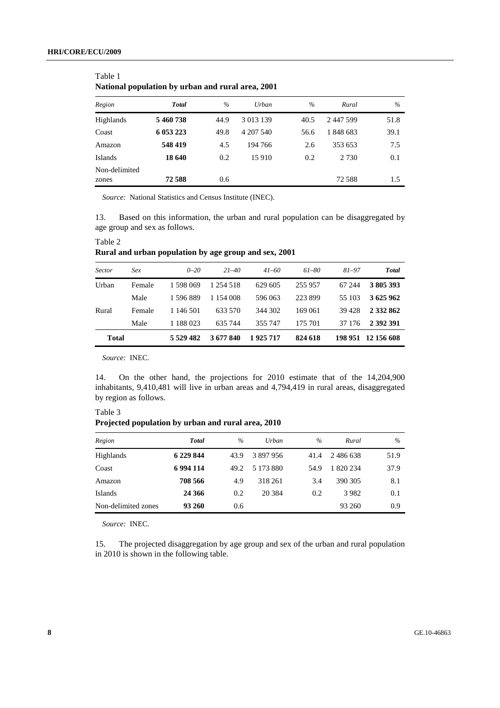| ramonar population by urban and rural area, 2001 |              |      |           |               |           |      |  |  |
|--------------------------------------------------|--------------|------|-----------|---------------|-----------|------|--|--|
| Region                                           | <b>Total</b> | $\%$ | Urban     | $\frac{0}{0}$ | Rural     | $\%$ |  |  |
| Highlands                                        | 5460738      | 44.9 | 3 013 139 | 40.5          | 2 447 599 | 51.8 |  |  |
| Coast                                            | 6 053 223    | 49.8 | 4 207 540 | 56.6          | 1848683   | 39.1 |  |  |
| Amazon                                           | 548 419      | 4.5  | 194 766   | 2.6           | 353 653   | 7.5  |  |  |
| Islands                                          | 18 640       | 0.2  | 15 910    | 0.2           | 2 7 3 0   | 0.1  |  |  |
| Non-delimited<br>zones                           | 72588        | 0.6  |           |               | 72 588    | 1.5  |  |  |

Table 1 **National population by urban and rural area, 2001** 

*Source:* National Statistics and Census Institute (INEC).

13. Based on this information, the urban and rural population can be disaggregated by age group and sex as follows.

| Sector | Sex    | $0 - 20$     | $21 - 40$ | $41 - 60$ | 61-80   | $81 - 97$ | <b>Total</b>       |  |  |  |
|--------|--------|--------------|-----------|-----------|---------|-----------|--------------------|--|--|--|
| Urban  | Female | 1 598 069    | 1 254 518 | 629 605   | 255 957 | 67 244    | 3 805 393          |  |  |  |
|        | Male   | 1 596 889    | 1 154 008 | 596 063   | 223899  | 55 103    | 3 625 962          |  |  |  |
| Rural  | Female | 1 146 501    | 633.570   | 344 302   | 169 061 | 39428     | 2 3 3 2 8 6 2      |  |  |  |
|        | Male   | 1 188 023    | 635 744   | 355 747   | 175 701 | 37 176    | 2 392 391          |  |  |  |
| Total  |        | 5 5 29 4 8 2 | 3 677 840 | 1925717   | 824 618 |           | 198 951 12 156 608 |  |  |  |

**Rural and urban population by age group and sex, 2001** 

*Source:* INEC.

Table 2

14. On the other hand, the projections for 2010 estimate that of the 14,204,900 inhabitants, 9,410,481 will live in urban areas and 4,794,419 in rural areas, disaggregated by region as follows.

| Table 3                                            |  |  |
|----------------------------------------------------|--|--|
| Projected population by urban and rural area, 2010 |  |  |

| Region              | <b>Total</b> | $\%$ | Urban     | $\%$ | Rural     | $\%$ |
|---------------------|--------------|------|-----------|------|-----------|------|
| Highlands           | 6 229 844    | 43.9 | 3897956   | 41.4 | 2 486 638 | 51.9 |
| Coast               | 6994114      | 49.2 | 5 173 880 | 54.9 | 1 820 234 | 37.9 |
| Amazon              | 708 566      | 4.9  | 318 261   | 3.4  | 390 305   | 8.1  |
| Islands             | 24 366       | 0.2  | 20 3 84   | 0.2  | 3 9 8 2   | 0.1  |
| Non-delimited zones | 93 260       | 0.6  |           |      | 93 260    | 0.9  |

*Source:* INEC.

15. The projected disaggregation by age group and sex of the urban and rural population in 2010 is shown in the following table.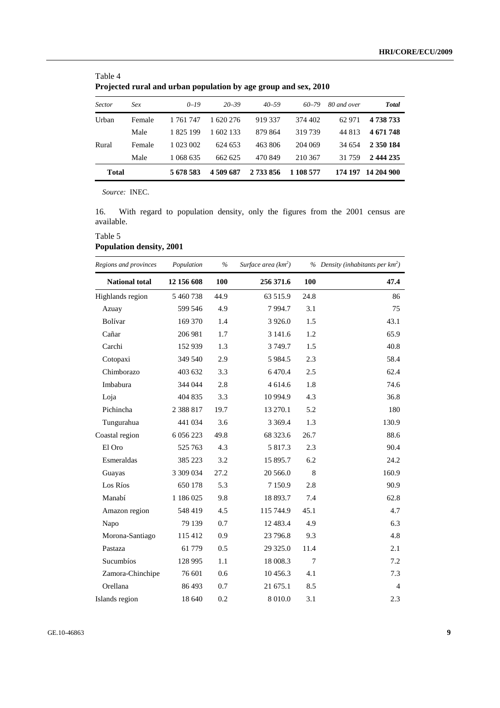| Trojected rural and arbail population by age group and sex, 2010 |        |           |           |           |           |             |              |  |  |
|------------------------------------------------------------------|--------|-----------|-----------|-----------|-----------|-------------|--------------|--|--|
| <b>Sector</b>                                                    | Sex    | $0 - 19$  | $20 - 39$ | $40 - 59$ | $60 - 79$ | 80 and over | <b>Total</b> |  |  |
| Urban                                                            | Female | 1 761 747 | 1 620 276 | 919 337   | 374 402   | 62 971      | 4 738 733    |  |  |
|                                                                  | Male   | 1 825 199 | 1 602 133 | 879 864   | 319739    | 44 813      | 4 671 748    |  |  |
| Rural                                                            | Female | 1 023 002 | 624 653   | 463 806   | 204 069   | 34 654      | 2 350 184    |  |  |
|                                                                  | Male   | 1 068 635 | 662 625   | 470849    | 210.367   | 31 759      | 2 444 235    |  |  |
| <b>Total</b>                                                     |        | 5 678 583 | 4 509 687 | 2 733 856 | 1 108 577 | 174 197     | 14 204 900   |  |  |

| Table 4                                                         |  |
|-----------------------------------------------------------------|--|
| Projected rural and urban population by age group and sex, 2010 |  |

16. With regard to population density, only the figures from the 2001 census are available.

### Table 5 **Population density, 2001**

| Regions and provinces | Population    | $\%$ | Surface area (km <sup>2</sup> ) |        | % Density (inhabitants per $km^2$ ) |
|-----------------------|---------------|------|---------------------------------|--------|-------------------------------------|
| <b>National total</b> | 12 156 608    | 100  | 256 371.6                       | 100    | 47.4                                |
| Highlands region      | 5 460 738     | 44.9 | 63 515.9                        | 24.8   | 86                                  |
| Azuay                 | 599 546       | 4.9  | 7994.7                          | 3.1    | 75                                  |
| Bolívar               | 169 370       | 1.4  | 3 9 2 6 .0                      | 1.5    | 43.1                                |
| Cañar                 | 206 981       | 1.7  | 3 141.6                         | 1.2    | 65.9                                |
| Carchi                | 152 939       | 1.3  | 3749.7                          | 1.5    | 40.8                                |
| Cotopaxi              | 349 540       | 2.9  | 5 9 8 4.5                       | 2.3    | 58.4                                |
| Chimborazo            | 403 632       | 3.3  | 6 4 7 0.4                       | 2.5    | 62.4                                |
| Imbabura              | 344 044       | 2.8  | 4 614.6                         | 1.8    | 74.6                                |
| Loja                  | 404 835       | 3.3  | 10 994.9                        | 4.3    | 36.8                                |
| Pichincha             | 2 3 8 8 1 7   | 19.7 | 13 270.1                        | 5.2    | 180                                 |
| Tungurahua            | 441 034       | 3.6  | 3 3 6 9.4                       | 1.3    | 130.9                               |
| Coastal region        | 6 0 5 6 2 2 3 | 49.8 | 68 323.6                        | 26.7   | 88.6                                |
| El Oro                | 525 763       | 4.3  | 5 817.3                         | 2.3    | 90.4                                |
| Esmeraldas            | 385 223       | 3.2  | 15 895.7                        | 6.2    | 24.2                                |
| Guayas                | 3 309 034     | 27.2 | 20 566.0                        | 8      | 160.9                               |
| Los Ríos              | 650 178       | 5.3  | 7 1 5 0.9                       | 2.8    | 90.9                                |
| Manabí                | 1 186 025     | 9.8  | 18 893.7                        | 7.4    | 62.8                                |
| Amazon region         | 548 419       | 4.5  | 115 744.9                       | 45.1   | 4.7                                 |
| Napo                  | 79 139        | 0.7  | 12 4 8 3.4                      | 4.9    | 6.3                                 |
| Morona-Santiago       | 115 412       | 0.9  | 23 796.8                        | 9.3    | 4.8                                 |
| Pastaza               | 61 779        | 0.5  | 29 3 25.0                       | 11.4   | 2.1                                 |
| Sucumbíos             | 128 995       | 1.1  | 18 008.3                        | $\tau$ | 7.2                                 |
| Zamora-Chinchipe      | 76 601        | 0.6  | 10 456.3                        | 4.1    | 7.3                                 |
| Orellana              | 86 493        | 0.7  | 21 675.1                        | 8.5    | $\overline{4}$                      |
| Islands region        | 18 640        | 0.2  | 8 0 1 0.0                       | 3.1    | 2.3                                 |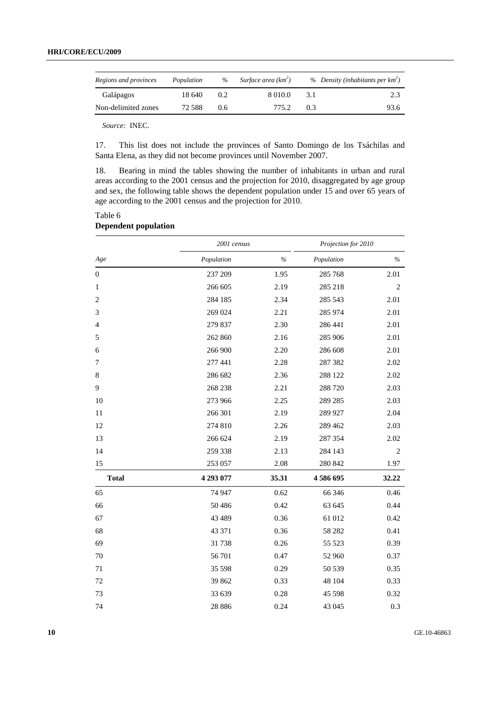| Regions and provinces | Population | $\%$ | Surface area (km <sup>2</sup> ) |     | % Density (inhabitants per $km^2$ ) |
|-----------------------|------------|------|---------------------------------|-----|-------------------------------------|
| Galápagos             | 18.640     | 0.2  | 8 0 1 0 .0                      | 3.1 | 2.3                                 |
| Non-delimited zones   | 72.588     | 0.6  | 775.2                           | 03  | 93.6                                |

17. This list does not include the provinces of Santo Domingo de los Tsáchilas and Santa Elena, as they did not become provinces until November 2007.

18. Bearing in mind the tables showing the number of inhabitants in urban and rural areas according to the 2001 census and the projection for 2010, disaggregated by age group and sex, the following table shows the dependent population under 15 and over 65 years of age according to the 2001 census and the projection for 2010.

#### Table 6 **Dependent population**

|                  | 2001 census |       | Projection for 2010 |                |  |
|------------------|-------------|-------|---------------------|----------------|--|
| $Age$            | Population  | $\%$  | Population          | $\%$           |  |
| $\boldsymbol{0}$ | 237 209     | 1.95  | 285 768             | 2.01           |  |
| 1                | 266 605     | 2.19  | 285 218             | $\overline{2}$ |  |
| $\overline{c}$   | 284 185     | 2.34  | 285 543             | 2.01           |  |
| 3                | 269 024     | 2.21  | 285 974             | 2.01           |  |
| 4                | 279 837     | 2.30  | 286 441             | 2.01           |  |
| 5                | 262 860     | 2.16  | 285 906             | 2.01           |  |
| 6                | 266 900     | 2.20  | 286 608             | 2.01           |  |
| 7                | 277 441     | 2.28  | 287 382             | 2.02           |  |
| 8                | 286 682     | 2.36  | 288 122             | 2.02           |  |
| 9                | 268 238     | 2.21  | 288 720             | 2.03           |  |
| 10               | 273 966     | 2.25  | 289 285             | 2.03           |  |
| 11               | 266 301     | 2.19  | 289 927             | 2.04           |  |
| 12               | 274 810     | 2.26  | 289 462             | 2.03           |  |
| 13               | 266 624     | 2.19  | 287 354             | 2.02           |  |
| 14               | 259 338     | 2.13  | 284 143             | 2              |  |
| 15               | 253 057     | 2.08  | 280 842             | 1.97           |  |
| <b>Total</b>     | 4 293 077   | 35.31 | 4586695             | 32.22          |  |
| 65               | 74 947      | 0.62  | 66 34 6             | 0.46           |  |
| 66               | 50486       | 0.42  | 63 645              | 0.44           |  |
| 67               | 43 4 89     | 0.36  | 61 012              | 0.42           |  |
| 68               | 43 371      | 0.36  | 58 28 2             | 0.41           |  |
| 69               | 31738       | 0.26  | 55 5 23             | 0.39           |  |
| 70               | 56 701      | 0.47  | 52 960              | 0.37           |  |
| 71               | 35 5 98     | 0.29  | 50 539              | 0.35           |  |
| 72               | 39 862      | 0.33  | 48 104              | 0.33           |  |
| 73               | 33 639      | 0.28  | 45 5 98             | 0.32           |  |
| 74               | 28 8 8 6    | 0.24  | 43 045              | 0.3            |  |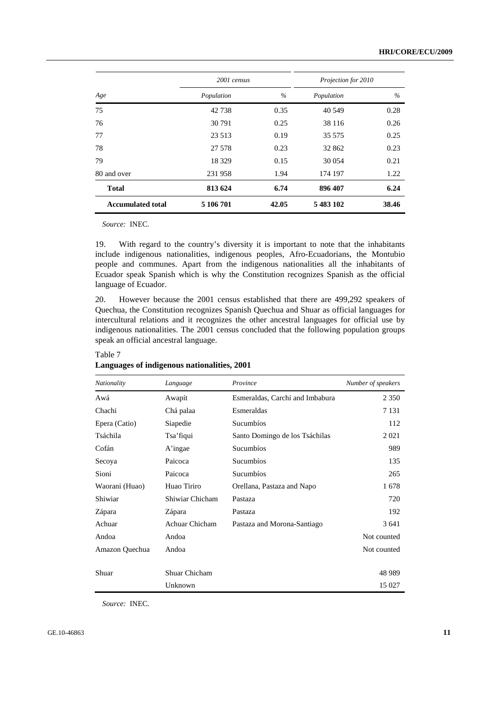|                          | 2001 census |       | Projection for 2010 |       |  |
|--------------------------|-------------|-------|---------------------|-------|--|
| Age                      | Population  | $\%$  | Population          | $\%$  |  |
| 75                       | 42738       | 0.35  | 40 549              | 0.28  |  |
| 76                       | 30 791      | 0.25  | 38 116              | 0.26  |  |
| 77                       | 23 5 13     | 0.19  | 35 575              | 0.25  |  |
| 78                       | 27 578      | 0.23  | 32 862              | 0.23  |  |
| 79                       | 18 3 29     | 0.15  | 30 0 54             | 0.21  |  |
| 80 and over              | 231958      | 1.94  | 174 197             | 1.22  |  |
| <b>Total</b>             | 813 624     | 6.74  | 896 407             | 6.24  |  |
| <b>Accumulated total</b> | 5 106 701   | 42.05 | 5 483 102           | 38.46 |  |

Table 7

19. With regard to the country's diversity it is important to note that the inhabitants include indigenous nationalities, indigenous peoples, Afro-Ecuadorians, the Montubio people and communes. Apart from the indigenous nationalities all the inhabitants of Ecuador speak Spanish which is why the Constitution recognizes Spanish as the official language of Ecuador.

20. However because the 2001 census established that there are 499,292 speakers of Quechua, the Constitution recognizes Spanish Quechua and Shuar as official languages for intercultural relations and it recognizes the other ancestral languages for official use by indigenous nationalities. The 2001 census concluded that the following population groups speak an official ancestral language.

| Nationality    | Language        | Province                        | Number of speakers |
|----------------|-----------------|---------------------------------|--------------------|
| Awá            | Awapít          | Esmeraldas, Carchi and Imbabura | 2 3 5 0            |
| Chachi         | Chá palaa       | Esmeraldas                      | 7 1 3 1            |
| Epera (Catio)  | Siapedie        | Sucumbios                       | 112                |
| Tsáchila       | Tsa' fiqui      | Santo Domingo de los Tsáchilas  | 2021               |
| Cofán          | A'ingae         | Sucumbios                       | 989                |
| Secoya         | Paicoca         | Sucumbios                       | 135                |
| Sioni          | Paicoca         | Sucumbíos                       | 265                |
| Waorani (Huao) | Huao Tiriro     | Orellana, Pastaza and Napo      | 1678               |
| Shiwiar        | Shiwiar Chicham | Pastaza                         | 720                |
| Zápara         | Zápara          | Pastaza                         | 192                |
| Achuar         | Achuar Chicham  | Pastaza and Morona-Santiago     | 3641               |
| Andoa          | Andoa           |                                 | Not counted        |
| Amazon Quechua | Andoa           |                                 | Not counted        |
|                |                 |                                 |                    |
| Shuar          | Shuar Chicham   |                                 | 48 9 89            |
|                | Unknown         |                                 | 15 027             |

**Languages of indigenous nationalities, 2001** 

*Source:* INEC.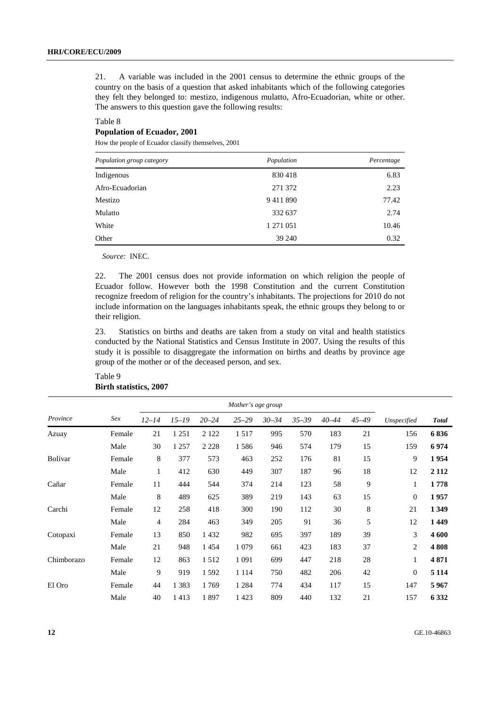21. A variable was included in the 2001 census to determine the ethnic groups of the country on the basis of a question that asked inhabitants which of the following categories they felt they belonged to: mestizo, indigenous mulatto, Afro-Ecuadorian, white or other. The answers to this question gave the following results:

#### Table 8 **Population of Ecuador, 2001**

How the people of Ecuador classify themselves, 2001

| Population group category | Population | Percentage |
|---------------------------|------------|------------|
| Indigenous                | 830418     | 6.83       |
| Afro-Ecuadorian           | 271 372    | 2.23       |
| Mestizo                   | 9411890    | 77.42      |
| Mulatto                   | 332 637    | 2.74       |
| White                     | 1 271 051  | 10.46      |
| Other                     | 39 240     | 0.32       |

*Source:* INEC.

22. The 2001 census does not provide information on which religion the people of Ecuador follow. However both the 1998 Constitution and the current Constitution recognize freedom of religion for the country's inhabitants. The projections for 2010 do not include information on the languages inhabitants speak, the ethnic groups they belong to or their religion.

23. Statistics on births and deaths are taken from a study on vital and health statistics conducted by the National Statistics and Census Institute in 2007. Using the results of this study it is possible to disaggregate the information on births and deaths by province age group of the mother or of the deceased person, and sex.

| Table 9 |                               |  |
|---------|-------------------------------|--|
|         | <b>Birth statistics, 2007</b> |  |

| Province   | Sex    | $12 - 14$      | $15 - 19$ | $20 - 24$ | $25 - 29$ | $30 - 34$ | $35 - 39$ | $40 - 44$ | $45 - 49$ | Unspecified  | <b>Total</b> |
|------------|--------|----------------|-----------|-----------|-----------|-----------|-----------|-----------|-----------|--------------|--------------|
| Azuay      | Female | 21             | 1 2 5 1   | 2 1 2 2   | 1517      | 995       | 570       | 183       | 21        | 156          | 6836         |
|            | Male   | 30             | 1 2 5 7   | 2 2 2 8   | 1586      | 946       | 574       | 179       | 15        | 159          | 6974         |
| Bolívar    | Female | 8              | 377       | 573       | 463       | 252       | 176       | 81        | 15        | 9            | 1954         |
|            | Male   | $\mathbf{1}$   | 412       | 630       | 449       | 307       | 187       | 96        | 18        | 12           | 2 1 1 2      |
| Cañar      | Female | 11             | 444       | 544       | 374       | 214       | 123       | 58        | 9         | 1            | 1778         |
|            | Male   | 8              | 489       | 625       | 389       | 219       | 143       | 63        | 15        | $\mathbf{0}$ | 1957         |
| Carchi     | Female | 12             | 258       | 418       | 300       | 190       | 112       | 30        | 8         | 21           | 1 3 4 9      |
|            | Male   | $\overline{4}$ | 284       | 463       | 349       | 205       | 91        | 36        | 5         | 12           | 1449         |
| Cotopaxi   | Female | 13             | 850       | 1 4 3 2   | 982       | 695       | 397       | 189       | 39        | 3            | 4 600        |
|            | Male   | 21             | 948       | 1454      | 1 0 7 9   | 661       | 423       | 183       | 37        | 2            | 4808         |
| Chimborazo | Female | 12             | 863       | 1512      | 1 0 9 1   | 699       | 447       | 218       | 28        | $\mathbf{1}$ | 4871         |
|            | Male   | 9              | 919       | 1 5 9 2   | 1 1 1 4   | 750       | 482       | 206       | 42        | $\mathbf{0}$ | 5 1 1 4      |
| El Oro     | Female | 44             | 1 3 8 3   | 1769      | 1 2 8 4   | 774       | 434       | 117       | 15        | 147          | 5967         |
|            | Male   | 40             | 1413      | 1897      | 1423      | 809       | 440       | 132       | 21        | 157          | 6 3 3 2      |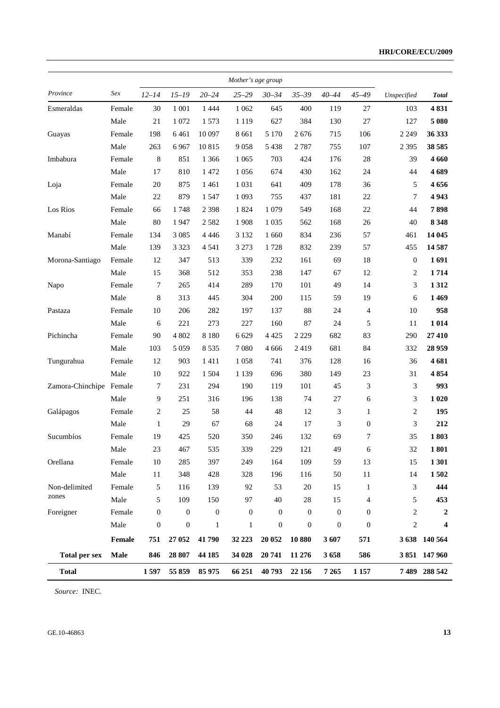#### **HRI/CORE/ECU/2009**

|                      |        |                  |                  |                  | Mother's age group |                  |                  |                  |                  |                  |               |
|----------------------|--------|------------------|------------------|------------------|--------------------|------------------|------------------|------------------|------------------|------------------|---------------|
| Province             | Sex    | $12 - 14$        | $15 - 19$        | $20 - 24$        | $25 - 29$          | $30 - 34$        | $35 - 39$        | $40 - 44$        | $45 - 49$        | Unspecified      | <b>Total</b>  |
| Esmeraldas           | Female | 30               | 1 0 0 1          | 1 4 4 4          | 1 0 6 2            | 645              | 400              | 119              | 27               | 103              | 4831          |
|                      | Male   | 21               | 1 0 7 2          | 1 5 7 3          | 1 1 1 9            | 627              | 384              | 130              | 27               | 127              | 5 0 8 0       |
| Guayas               | Female | 198              | 6461             | 10 097           | 8 6 6 1            | 5 1 7 0          | 2676             | 715              | 106              | 2 2 4 9          | 36 333        |
|                      | Male   | 263              | 6967             | 10815            | 9058               | 5 4 3 8          | 2 7 8 7          | 755              | 107              | 2 3 9 5          | 38 5 85       |
| Imbabura             | Female | $\,8$            | 851              | 1 3 6 6          | 1 0 6 5            | 703              | 424              | 176              | 28               | 39               | 4 6 6 0       |
|                      | Male   | 17               | 810              | 1 472            | 1056               | 674              | 430              | 162              | 24               | 44               | 4689          |
| Loja                 | Female | 20               | 875              | 1 4 6 1          | 1 0 3 1            | 641              | 409              | 178              | 36               | 5                | 4656          |
|                      | Male   | 22               | 879              | 1 5 4 7          | 1 0 9 3            | 755              | 437              | 181              | $22\,$           | 7                | 4943          |
| Los Ríos             | Female | 66               | 1748             | 2 3 9 8          | 1824               | 1 0 7 9          | 549              | 168              | 22               | 44               | 7898          |
|                      | Male   | $80\,$           | 1947             | 2 5 8 2          | 1908               | 1 0 3 5          | 562              | 168              | 26               | 40               | 8 3 4 8       |
| Manabí               | Female | 134              | 3 0 8 5          | 4 4 4 6          | 3 1 3 2            | 1 6 6 0          | 834              | 236              | 57               | 461              | 14 045        |
|                      | Male   | 139              | 3 3 2 3          | 4 5 4 1          | 3 2 7 3            | 1728             | 832              | 239              | 57               | 455              | 14 5 87       |
| Morona-Santiago      | Female | 12               | 347              | 513              | 339                | 232              | 161              | 69               | 18               | $\boldsymbol{0}$ | 1691          |
|                      | Male   | 15               | 368              | 512              | 353                | 238              | 147              | 67               | 12               | $\overline{2}$   | 1714          |
| Napo                 | Female | $\tau$           | 265              | 414              | 289                | 170              | 101              | 49               | 14               | 3                | 1312          |
|                      | Male   | $\,8\,$          | 313              | 445              | 304                | 200              | 115              | 59               | 19               | 6                | 1469          |
| Pastaza              | Female | 10               | 206              | 282              | 197                | 137              | 88               | 24               | $\overline{4}$   | $10\,$           | 958           |
|                      | Male   | 6                | 221              | 273              | 227                | 160              | 87               | 24               | 5                | 11               | 1 0 1 4       |
| Pichincha            | Female | 90               | 4 802            | 8 1 8 0          | 6 6 29             | 4 4 2 5          | 2 2 2 9          | 682              | 83               | 290              | 27 410        |
|                      | Male   | 103              | 5 0 5 9          | 8 5 3 5          | 7 0 8 0            | 4 6 6 6          | 2419             | 681              | 84               | 332              | 28 9 59       |
| Tungurahua           | Female | 12               | 903              | 1411             | 1058               | 741              | 376              | 128              | 16               | 36               | 4681          |
|                      | Male   | $10\,$           | 922              | 1 5 0 4          | 1 1 3 9            | 696              | 380              | 149              | 23               | 31               | 4854          |
| Zamora-Chinchipe     | Female | 7                | 231              | 294              | 190                | 119              | 101              | 45               | 3                | 3                | 993           |
|                      | Male   | 9                | 251              | 316              | 196                | 138              | 74               | $27\,$           | 6                | 3                | 1 0 20        |
| Galápagos            | Female | 2                | 25               | 58               | 44                 | 48               | 12               | 3                | $\mathbf{1}$     | 2                | 195           |
|                      | Male   | $\mathbf{1}$     | 29               | 67               | 68                 | 24               | 17               | 3                | $\boldsymbol{0}$ | 3                | 212           |
| Sucumbíos            | Female | 19               | 425              | 520              | 350                | 246              | 132              | 69               | 7                | 35               | 1803          |
|                      | Male   | 23               | 467              | 535              | 339                | 229              | 121              | 49               | 6                | 32               | 1801          |
| Orellana             | Female | $10\,$           | 285              | 397              | 249                | 164              | 109              | 59               | 13               | 15               | 1 301         |
|                      | Male   | 11               | 348              | 428              | 328                | 196              | 116              | 50               | $11\,$           | 14               | 1502          |
| Non-delimited        | Female | 5                | 116              | 139              | 92                 | 53               | $20\,$           | 15               | $\mathbf{1}$     | 3                | 444           |
| zones                | Male   | 5                | 109              | 150              | 97                 | 40               | 28               | 15               | 4                | 5                | 453           |
| Foreigner            | Female | $\boldsymbol{0}$ | $\boldsymbol{0}$ | $\boldsymbol{0}$ | $\boldsymbol{0}$   | 0                | $\mathbf{0}$     | $\boldsymbol{0}$ | $\overline{0}$   | $\boldsymbol{2}$ | 2             |
|                      | Male   | $\boldsymbol{0}$ | $\boldsymbol{0}$ | $\mathbf{1}$     | $\mathbf{1}$       | $\boldsymbol{0}$ | $\boldsymbol{0}$ | $\boldsymbol{0}$ | $\boldsymbol{0}$ | 2                | 4             |
|                      | Female | 751              | 27 052           | 41790            | 32 223             | 20 052           | 10880            | 3607             | 571              |                  | 3 638 140 564 |
| <b>Total per sex</b> | Male   | 846              | 28 807           | 44 185           | 34 028             | 20 741           | 11 276           | 3658             | 586              |                  | 3 851 147 960 |
| <b>Total</b>         |        | 1 5 9 7          | 55 859           | 85 975           | 66 251             | 40793            | 22 15 6          | 7 2 6 5          | 1 1 5 7          |                  | 7 489 288 542 |

*Source:* INEC.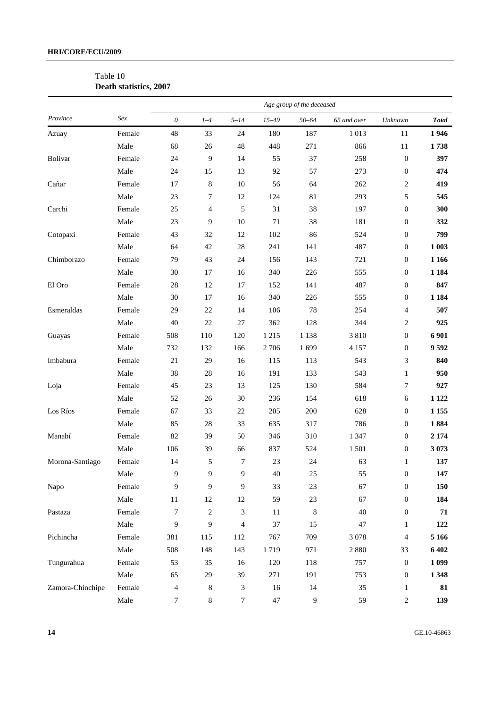### Table 10 **Death statistics, 2007**

|                  |        | Age group of the deceased |                  |                             |           |                |             |                  |              |
|------------------|--------|---------------------------|------------------|-----------------------------|-----------|----------------|-------------|------------------|--------------|
| Province         | Sex    | $\boldsymbol{\theta}$     | $1-4$            | $5 - 14$                    | $15 - 49$ | $50 - 64$      | 65 and over | Unknown          | <b>Total</b> |
| Azuay            | Female | 48                        | 33               | 24                          | 180       | 187            | 1013        | 11               | 1946         |
|                  | Male   | 68                        | 26               | 48                          | 448       | 271            | 866         | $11\,$           | 1738         |
| Bolívar          | Female | 24                        | 9                | 14                          | 55        | 37             | 258         | $\boldsymbol{0}$ | 397          |
|                  | Male   | 24                        | 15               | 13                          | 92        | 57             | 273         | $\boldsymbol{0}$ | 474          |
| Cañar            | Female | 17                        | 8                | $10\,$                      | 56        | 64             | 262         | $\overline{c}$   | 419          |
|                  | Male   | 23                        | 7                | 12                          | 124       | 81             | 293         | 5                | 545          |
| Carchi           | Female | 25                        | 4                | 5                           | 31        | 38             | 197         | $\boldsymbol{0}$ | 300          |
|                  | Male   | 23                        | 9                | $10\,$                      | 71        | 38             | 181         | $\boldsymbol{0}$ | 332          |
| Cotopaxi         | Female | 43                        | 32               | 12                          | 102       | 86             | 524         | $\boldsymbol{0}$ | 799          |
|                  | Male   | 64                        | 42               | $28\,$                      | 241       | 141            | 487         | $\boldsymbol{0}$ | 1 003        |
| Chimborazo       | Female | 79                        | 43               | 24                          | 156       | 143            | 721         | $\boldsymbol{0}$ | 1 1 6 6      |
|                  | Male   | 30                        | 17               | 16                          | 340       | 226            | 555         | $\boldsymbol{0}$ | 1 1 8 4      |
| El Oro           | Female | 28                        | 12               | 17                          | 152       | 141            | 487         | $\boldsymbol{0}$ | 847          |
|                  | Male   | 30                        | 17               | 16                          | 340       | 226            | 555         | $\boldsymbol{0}$ | 1 1 8 4      |
| Esmeraldas       | Female | 29                        | $22\,$           | 14                          | 106       | 78             | 254         | 4                | 507          |
|                  | Male   | 40                        | $22\,$           | $27\,$                      | 362       | 128            | 344         | 2                | 925          |
| Guayas           | Female | 508                       | 110              | 120                         | 1 2 1 5   | 1 1 3 8        | 3810        | $\boldsymbol{0}$ | 6 9 0 1      |
|                  | Male   | 732                       | 132              | 166                         | 2 706     | 1699           | 4 1 5 7     | $\boldsymbol{0}$ | 9592         |
| Imbabura         | Female | $21\,$                    | 29               | 16                          | 115       | 113            | 543         | 3                | 840          |
|                  | Male   | 38                        | $28\,$           | 16                          | 191       | 133            | 543         | $\mathbf{1}$     | 950          |
| Loja             | Female | 45                        | 23               | 13                          | 125       | 130            | 584         | 7                | 927          |
|                  | Male   | 52                        | 26               | $30\,$                      | 236       | 154            | 618         | 6                | 1 1 2 2      |
| Los Ríos         | Female | 67                        | 33               | $22\,$                      | 205       | 200            | 628         | $\boldsymbol{0}$ | 1 1 5 5      |
|                  | Male   | 85                        | $28\,$           | 33                          | 635       | 317            | 786         | $\boldsymbol{0}$ | 1884         |
| Manabí           | Female | 82                        | 39               | 50                          | 346       | 310            | 1 3 4 7     | $\boldsymbol{0}$ | 2 1 7 4      |
|                  | Male   | 106                       | 39               | 66                          | 837       | 524            | 1501        | $\boldsymbol{0}$ | 3073         |
| Morona-Santiago  | Female | 14                        | 5                | $\boldsymbol{7}$            | 23        | 24             | 63          | $\mathbf{1}$     | 137          |
|                  | Male   | 9                         | 9                | 9                           | 40        | 25             | 55          | $\boldsymbol{0}$ | 147          |
| Napo             | Female | 9                         | 9                | 9                           | 33        | 23             | 67          | $\boldsymbol{0}$ | 150          |
|                  | Male   | 11                        | $12\,$           | 12                          | 59        | $23\,$         | 67          | $\boldsymbol{0}$ | 184          |
| Pastaza          | Female | 7                         | $\boldsymbol{2}$ | $\ensuremath{\mathfrak{Z}}$ | 11        | 8              | 40          | $\boldsymbol{0}$ | 71           |
|                  | Male   | $\overline{9}$            | 9                | $\overline{4}$              | 37        | 15             | $47\,$      | $\mathbf{1}$     | 122          |
| Pichincha        | Female | 381                       | 115              | 112                         | 767       | 709            | 3 0 7 8     | 4                | 5 1 6 6      |
|                  | Male   | 508                       | 148              | 143                         | 1719      | 971            | 2 8 8 0     | 33               | 6 402        |
| Tungurahua       | Female | 53                        | 35               | 16                          | 120       | 118            | 757         | $\boldsymbol{0}$ | 1 0 9 9      |
|                  | Male   | 65                        | 29               | 39                          | 271       | 191            | 753         | $\boldsymbol{0}$ | 1 3 4 8      |
| Zamora-Chinchipe | Female | $\overline{4}$            | 8                | 3                           | 16        | 14             | 35          | $\mathbf{1}$     | 81           |
|                  | Male   | $\tau$                    | $8\,$            | 7                           | $47\,$    | $\overline{9}$ | 59          | 2                | 139          |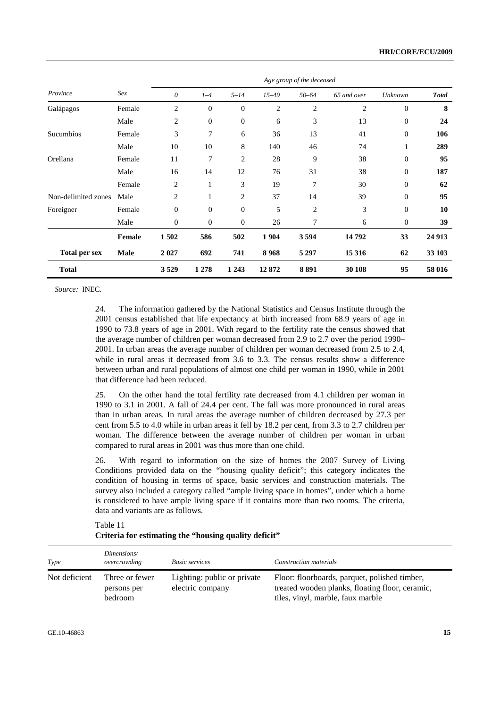|                      |               | Age group of the deceased |                  |                  |                |                |                |                  |              |  |
|----------------------|---------------|---------------------------|------------------|------------------|----------------|----------------|----------------|------------------|--------------|--|
| Province             | Sex           | 0                         | $1-4$            | $5 - 14$         | $15 - 49$      | $50 - 64$      | 65 and over    | Unknown          | <b>Total</b> |  |
| Galápagos            | Female        | 2                         | $\overline{0}$   | $\overline{0}$   | $\overline{2}$ | $\overline{2}$ | $\overline{2}$ | $\theta$         | 8            |  |
|                      | Male          | 2                         | $\mathbf{0}$     | $\boldsymbol{0}$ | 6              | 3              | 13             | $\overline{0}$   | 24           |  |
| Sucumbios            | Female        | 3                         | 7                | 6                | 36             | 13             | 41             | $\boldsymbol{0}$ | 106          |  |
|                      | Male          | 10                        | 10               | 8                | 140            | 46             | 74             | 1                | 289          |  |
| Orellana             | Female        | 11                        | 7                | $\overline{c}$   | 28             | 9              | 38             | $\boldsymbol{0}$ | 95           |  |
|                      | Male          | 16                        | 14               | 12               | 76             | 31             | 38             | $\boldsymbol{0}$ | 187          |  |
|                      | Female        | $\overline{2}$            | $\mathbf{1}$     | 3                | 19             | 7              | 30             | $\boldsymbol{0}$ | 62           |  |
| Non-delimited zones  | Male          | 2                         | 1                | 2                | 37             | 14             | 39             | $\mathbf{0}$     | 95           |  |
| Foreigner            | Female        | $\mathbf{0}$              | $\overline{0}$   | $\overline{0}$   | 5              | 2              | 3              | $\mathbf{0}$     | 10           |  |
|                      | Male          | $\overline{0}$            | $\boldsymbol{0}$ | $\boldsymbol{0}$ | 26             | 7              | 6              | $\mathbf{0}$     | 39           |  |
|                      | <b>Female</b> | 1502                      | 586              | 502              | 1 9 0 4        | 3594           | 14792          | 33               | 24 9 13      |  |
| <b>Total per sex</b> | <b>Male</b>   | 2 0 2 7                   | 692              | 741              | 8968           | 5 2 9 7        | 15 3 16        | 62               | 33 103       |  |
| <b>Total</b>         |               | 3529                      | 1 2 7 8          | 1 2 4 3          | 12872          | 8891           | 30 108         | 95               | 58 016       |  |

24. The information gathered by the National Statistics and Census Institute through the 2001 census established that life expectancy at birth increased from 68.9 years of age in 1990 to 73.8 years of age in 2001. With regard to the fertility rate the census showed that the average number of children per woman decreased from 2.9 to 2.7 over the period 1990– 2001. In urban areas the average number of children per woman decreased from 2.5 to 2.4, while in rural areas it decreased from 3.6 to 3.3. The census results show a difference between urban and rural populations of almost one child per woman in 1990, while in 2001 that difference had been reduced.

25. On the other hand the total fertility rate decreased from 4.1 children per woman in 1990 to 3.1 in 2001. A fall of 24.4 per cent. The fall was more pronounced in rural areas than in urban areas. In rural areas the average number of children decreased by 27.3 per cent from 5.5 to 4.0 while in urban areas it fell by 18.2 per cent, from 3.3 to 2.7 children per woman. The difference between the average number of children per woman in urban compared to rural areas in 2001 was thus more than one child.

26. With regard to information on the size of homes the 2007 Survey of Living Conditions provided data on the "housing quality deficit"; this category indicates the condition of housing in terms of space, basic services and construction materials. The survey also included a category called "ample living space in homes", under which a home is considered to have ample living space if it contains more than two rooms. The criteria, data and variants are as follows.

| Type          | Dimensions/<br>overcrowding              | <b>Basic services</b>                           | Construction materials                                                                                                                |
|---------------|------------------------------------------|-------------------------------------------------|---------------------------------------------------------------------------------------------------------------------------------------|
| Not deficient | Three or fewer<br>persons per<br>bedroom | Lighting: public or private<br>electric company | Floor: floorboards, parquet, polished timber,<br>treated wooden planks, floating floor, ceramic,<br>tiles, vinyl, marble, faux marble |

Table 11 **Criteria for estimating the "housing quality deficit"**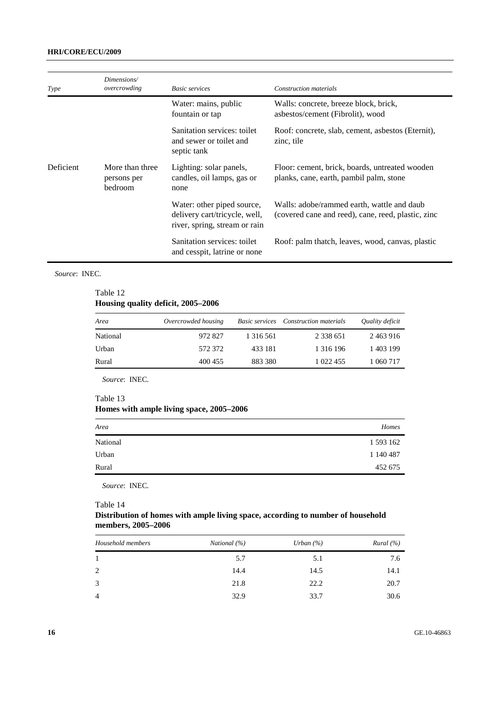### **HRI/CORE/ECU/2009**

| Type             | Dimensions/<br>overcrowding                      | <b>Basic services</b>                                                                        | Construction materials                                                                           |
|------------------|--------------------------------------------------|----------------------------------------------------------------------------------------------|--------------------------------------------------------------------------------------------------|
|                  |                                                  | Water: mains, public<br>fountain or tap                                                      | Walls: concrete, breeze block, brick,<br>asbestos/cement (Fibrolit), wood                        |
|                  |                                                  | Sanitation services: toilet<br>and sewer or toilet and<br>septic tank                        | Roof: concrete, slab, cement, asbestos (Eternit),<br>zinc, tile                                  |
| <b>Deficient</b> | More than three<br>persons per<br><b>bedroom</b> | Lighting: solar panels,<br>candles, oil lamps, gas or<br>none                                | Floor: cement, brick, boards, untreated wooden<br>planks, cane, earth, pambil palm, stone        |
|                  |                                                  | Water: other piped source,<br>delivery cart/tricycle, well,<br>river, spring, stream or rain | Walls: adobe/rammed earth, wattle and daub<br>(covered cane and reed), cane, reed, plastic, zinc |
|                  |                                                  | Sanitation services: toilet<br>and cesspit, latrine or none                                  | Roof: palm thatch, leaves, wood, canvas, plastic                                                 |

#### *Source*: INEC.

### Table 12 **Housing quality deficit, 2005–2006**

| Area     | Overcrowded housing | <i>Basic services</i> | Construction materials | Quality deficit |
|----------|---------------------|-----------------------|------------------------|-----------------|
| National | 972827              | 1 316 561             | 2 3 3 6 5 1            | 2463916         |
| Urban    | 572372              | 433 181               | 1 3 1 6 1 9 6          | 1 403 199       |
| Rural    | 400 455             | 883 380               | 1 022 455              | 1 060 717       |

*Source*: INEC.

#### Table 13

### **Homes with ample living space, 2005–2006**

| Area     | Homes     |
|----------|-----------|
| National | 1 593 162 |
| Urban    | 1 140 487 |
| Rural    | 452 675   |
|          |           |

*Source*: INEC.

#### Table 14

### **Distribution of homes with ample living space, according to number of household members, 2005–2006**

| Household members | National (%) | Urban $(\% )$ | Rural (%) |
|-------------------|--------------|---------------|-----------|
|                   | 5.7          | 5.1           | 7.6       |
| 2                 | 14.4         | 14.5          | 14.1      |
| 3                 | 21.8         | 22.2          | 20.7      |
| $\overline{4}$    | 32.9         | 33.7          | 30.6      |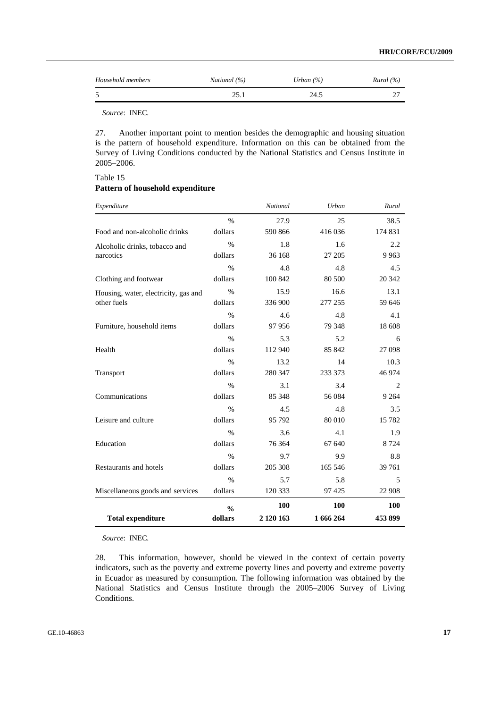| Household members | National (%) | Urban $(\% )$ | Rural (%) |
|-------------------|--------------|---------------|-----------|
|                   | 25.          | 24.5          |           |

Table 15

27. Another important point to mention besides the demographic and housing situation is the pattern of household expenditure. Information on this can be obtained from the Survey of Living Conditions conducted by the National Statistics and Census Institute in 2005–2006.

| Expenditure                          |               | National  | Urban     | Rural   |
|--------------------------------------|---------------|-----------|-----------|---------|
|                                      | $\%$          | 27.9      | 25        | 38.5    |
| Food and non-alcoholic drinks        | dollars       | 590 866   | 416 036   | 174 831 |
| Alcoholic drinks, tobacco and        | $\%$          | 1.8       | 1.6       | 2.2     |
| narcotics                            | dollars       | 36 168    | 27 205    | 9 9 6 3 |
|                                      | $\%$          | 4.8       | 4.8       | 4.5     |
| Clothing and footwear                | dollars       | 100 842   | 80 500    | 20 342  |
| Housing, water, electricity, gas and | $\%$          | 15.9      | 16.6      | 13.1    |
| other fuels                          | dollars       | 336 900   | 277 255   | 59 646  |
|                                      | $\frac{0}{0}$ | 4.6       | 4.8       | 4.1     |
| Furniture, household items           | dollars       | 97956     | 79 348    | 18 608  |
|                                      | $\%$          | 5.3       | 5.2       | 6       |
| Health                               | dollars       | 112 940   | 85 842    | 27 098  |
|                                      | $\frac{0}{0}$ | 13.2      | 14        | 10.3    |
| Transport                            | dollars       | 280 347   | 233 373   | 46 974  |
|                                      | $\frac{0}{0}$ | 3.1       | 3.4       | 2       |
| Communications                       | dollars       | 85 348    | 56 084    | 9 2 6 4 |
|                                      | $\%$          | 4.5       | 4.8       | 3.5     |
| Leisure and culture                  | dollars       | 95 792    | 80 010    | 15 7 82 |
|                                      | $\frac{0}{0}$ | 3.6       | 4.1       | 1.9     |
| Education                            | dollars       | 76 364    | 67 640    | 8 7 2 4 |
|                                      | $\frac{0}{0}$ | 9.7       | 9.9       | 8.8     |
| Restaurants and hotels               | dollars       | 205 308   | 165 546   | 39 761  |
|                                      | $\%$          | 5.7       | 5.8       | 5       |
| Miscellaneous goods and services     | dollars       | 120 333   | 97 4 25   | 22 908  |
|                                      | $\frac{0}{0}$ | 100       | 100       | 100     |
| <b>Total expenditure</b>             | dollars       | 2 120 163 | 1 666 264 | 453899  |

| Pattern of household expenditure |  |
|----------------------------------|--|
|                                  |  |

*Source*: INEC.

28. This information, however, should be viewed in the context of certain poverty indicators, such as the poverty and extreme poverty lines and poverty and extreme poverty in Ecuador as measured by consumption. The following information was obtained by the National Statistics and Census Institute through the 2005–2006 Survey of Living Conditions.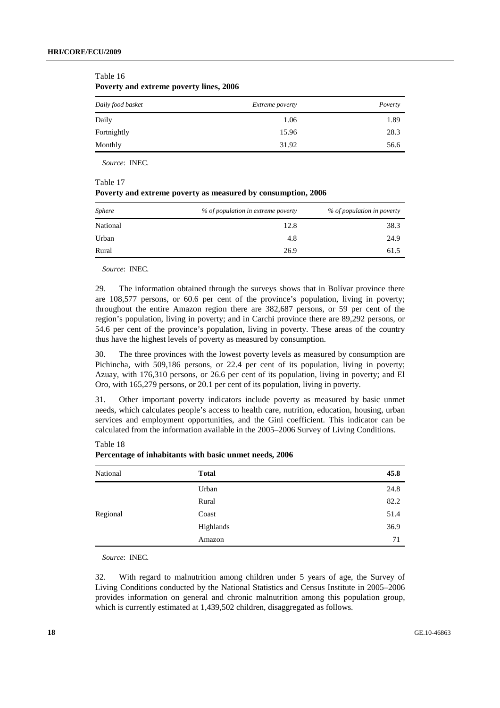| Daily food basket | <i>Extreme poverty</i> | Poverty |  |
|-------------------|------------------------|---------|--|
| Daily             | 1.06                   | 1.89    |  |
| Fortnightly       | 15.96                  | 28.3    |  |
| Monthly           | 31.92                  | 56.6    |  |

Table 16 **Poverty and extreme poverty lines, 2006** 

*Source*: INEC.

Table 17

#### **Poverty and extreme poverty as measured by consumption, 2006**

| <b>Sphere</b> | % of population in extreme poverty | % of population in poverty |
|---------------|------------------------------------|----------------------------|
| National      | 12.8                               | 38.3                       |
| Urban         | 4.8                                | 24.9                       |
| Rural         | 26.9                               | 61.5                       |

*Source*: INEC.

29. The information obtained through the surveys shows that in Bolívar province there are 108,577 persons, or 60.6 per cent of the province's population, living in poverty; throughout the entire Amazon region there are 382,687 persons, or 59 per cent of the region's population, living in poverty; and in Carchi province there are 89,292 persons, or 54.6 per cent of the province's population, living in poverty. These areas of the country thus have the highest levels of poverty as measured by consumption.

30. The three provinces with the lowest poverty levels as measured by consumption are Pichincha, with 509,186 persons, or 22.4 per cent of its population, living in poverty; Azuay, with 176,310 persons, or 26.6 per cent of its population, living in poverty; and El Oro, with 165,279 persons, or 20.1 per cent of its population, living in poverty.

31. Other important poverty indicators include poverty as measured by basic unmet needs, which calculates people's access to health care, nutrition, education, housing, urban services and employment opportunities, and the Gini coefficient. This indicator can be calculated from the information available in the 2005–2006 Survey of Living Conditions.

| National | <b>Total</b> | 45.8 |
|----------|--------------|------|
|          | Urban        | 24.8 |
|          | Rural        | 82.2 |
| Regional | Coast        | 51.4 |
|          | Highlands    | 36.9 |
|          | Amazon       | 71   |

**Percentage of inhabitants with basic unmet needs, 2006** 

*Source*: INEC.

Table 18

32. With regard to malnutrition among children under 5 years of age, the Survey of Living Conditions conducted by the National Statistics and Census Institute in 2005–2006 provides information on general and chronic malnutrition among this population group, which is currently estimated at 1,439,502 children, disaggregated as follows.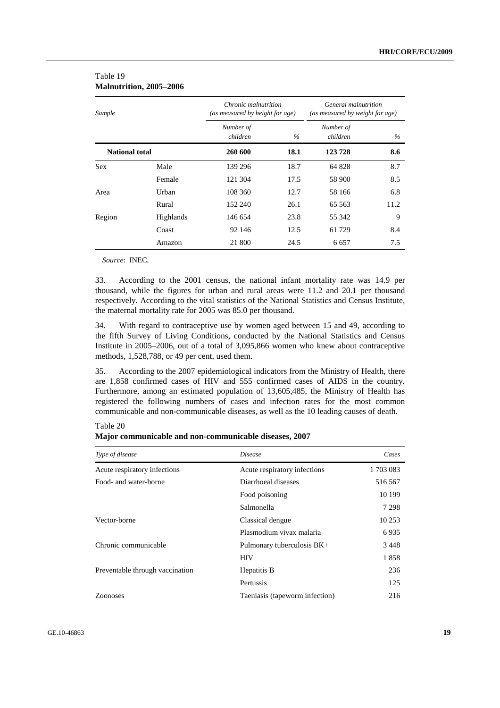| Sample                |                  | Chronic malnutrition<br>(as measured by height for age) |      | General malnutrition<br>(as measured by weight for age) |      |
|-----------------------|------------------|---------------------------------------------------------|------|---------------------------------------------------------|------|
|                       |                  | Number of<br>children                                   | $\%$ | Number of<br>children                                   | $\%$ |
| <b>National total</b> |                  | 260 600                                                 | 18.1 | 123728                                                  | 8.6  |
| <b>Sex</b>            | Male             | 139 296                                                 | 18.7 | 64828                                                   | 8.7  |
|                       | Female           | 121 304                                                 | 17.5 | 58 900                                                  | 8.5  |
| Area                  | Urban            | 108 360                                                 | 12.7 | 58 166                                                  | 6.8  |
|                       | Rural            | 152 240                                                 | 26.1 | 65 563                                                  | 11.2 |
| Region                | <b>Highlands</b> | 146 654                                                 | 23.8 | 55 342                                                  | 9    |
|                       | Coast            | 92 146                                                  | 12.5 | 61 729                                                  | 8.4  |
|                       | Amazon           | 21 800                                                  | 24.5 | 6 6 5 7                                                 | 7.5  |

#### Table 19 **Malnutrition, 2005–2006**

*Source*: INEC.

33. According to the 2001 census, the national infant mortality rate was 14.9 per thousand, while the figures for urban and rural areas were 11.2 and 20.1 per thousand respectively. According to the vital statistics of the National Statistics and Census Institute, the maternal mortality rate for 2005 was 85.0 per thousand.

34. With regard to contraceptive use by women aged between 15 and 49, according to the fifth Survey of Living Conditions, conducted by the National Statistics and Census Institute in 2005–2006, out of a total of 3,095,866 women who knew about contraceptive methods, 1,528,788, or 49 per cent, used them.

35. According to the 2007 epidemiological indicators from the Ministry of Health, there are 1,858 confirmed cases of HIV and 555 confirmed cases of AIDS in the country. Furthermore, among an estimated population of 13,605,485, the Ministry of Health has registered the following numbers of cases and infection rates for the most common communicable and non-communicable diseases, as well as the 10 leading causes of death.

| Type of disease                 | <i>Disease</i>                 | Cases    |
|---------------------------------|--------------------------------|----------|
| Acute respiratory infections    | Acute respiratory infections   | 1703 083 |
| Food- and water-borne           | Diarrhoeal diseases            | 516 567  |
|                                 | Food poisoning                 | 10 199   |
|                                 | Salmonella                     | 7 2 9 8  |
| Vector-borne                    | Classical dengue               | 10 253   |
|                                 | Plasmodium vivax malaria       | 6935     |
| Chronic communicable            | Pulmonary tuberculosis BK+     | 3448     |
|                                 | <b>HIV</b>                     | 1858     |
| Preventable through vaccination | Hepatitis B                    | 236      |
|                                 | Pertussis                      | 125      |
| <b>Zoonoses</b>                 | Taeniasis (tapeworm infection) | 216      |

Table 20 **Major communicable and non-communicable diseases, 2007**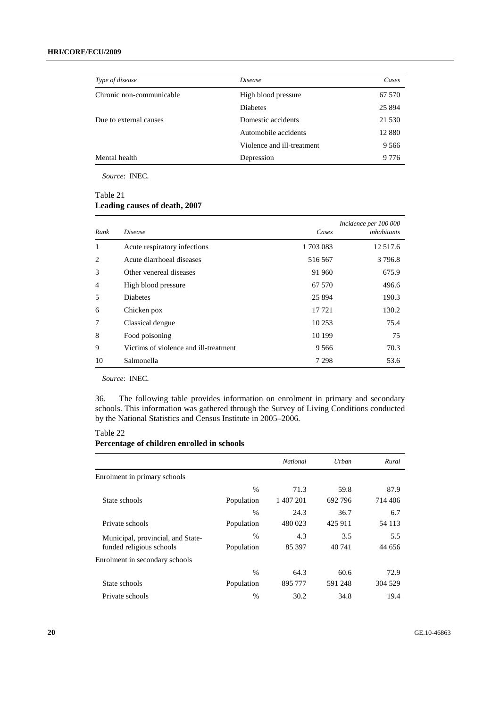| Type of disease          | <i>Disease</i>             | Cases    |
|--------------------------|----------------------------|----------|
| Chronic non-communicable | High blood pressure        | 67 570   |
|                          | Diabetes                   | 25 8 9 4 |
| Due to external causes   | Domestic accidents         | 21 530   |
|                          | Automobile accidents       | 12 8 8 0 |
|                          | Violence and ill-treatment | 9 5 6 6  |
| Mental health            | Depression                 | 9 7 7 6  |

### Table 21 **Leading causes of death, 2007**

| Rank           | <i>Disease</i>                        | Cases     | Incidence per 100 000<br>inhabitants |
|----------------|---------------------------------------|-----------|--------------------------------------|
| 1              | Acute respiratory infections          | 1 703 083 | 12 5 17.6                            |
| 2              | Acute diarrhoeal diseases             | 516 567   | 3 7 9 6.8                            |
| 3              | Other venereal diseases               | 91 960    | 675.9                                |
| $\overline{4}$ | High blood pressure                   | 67 570    | 496.6                                |
| 5              | <b>Diabetes</b>                       | 25 894    | 190.3                                |
| 6              | Chicken pox                           | 17 721    | 130.2                                |
| 7              | Classical dengue                      | 10 253    | 75.4                                 |
| 8              | Food poisoning                        | 10 199    | 75                                   |
| 9              | Victims of violence and ill-treatment | 9 5 6 6   | 70.3                                 |
| 10             | Salmonella                            | 7 2 9 8   | 53.6                                 |

*Source*: INEC.

36. The following table provides information on enrolment in primary and secondary schools. This information was gathered through the Survey of Living Conditions conducted by the National Statistics and Census Institute in 2005–2006.

### Table 22

#### **Percentage of children enrolled in schools**

|                                   |               | National  | Urban   | Rural    |
|-----------------------------------|---------------|-----------|---------|----------|
| Enrolment in primary schools      |               |           |         |          |
|                                   | $\%$          | 71.3      | 59.8    | 87.9     |
| State schools                     | Population    | 1 407 201 | 692 796 | 714 406  |
|                                   | $\frac{0}{0}$ | 24.3      | 36.7    | 6.7      |
| Private schools                   | Population    | 480 023   | 425 911 | 54 1 1 3 |
| Municipal, provincial, and State- | $\frac{0}{0}$ | 4.3       | 3.5     | 5.5      |
| funded religious schools          | Population    | 85 397    | 40 741  | 44 656   |
| Enrolment in secondary schools    |               |           |         |          |
|                                   | $\frac{0}{0}$ | 64.3      | 60.6    | 72.9     |
| State schools                     | Population    | 895 777   | 591 248 | 304 529  |
| Private schools                   | $\frac{0}{0}$ | 30.2      | 34.8    | 19.4     |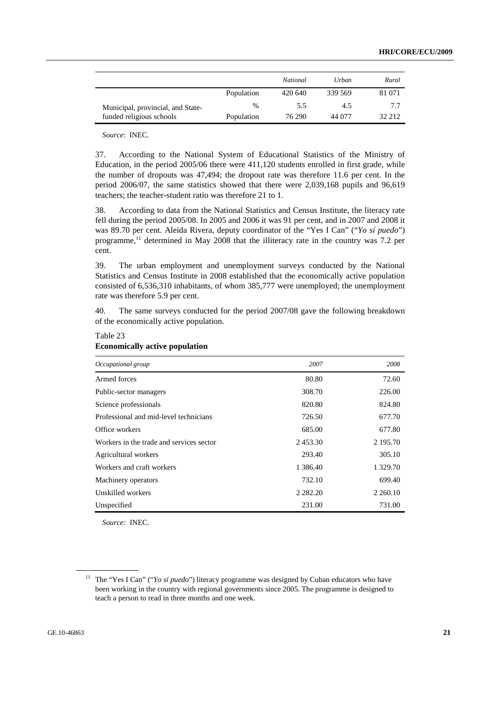|                                   |            | National | Urban   | Rural  |
|-----------------------------------|------------|----------|---------|--------|
|                                   | Population | 420 640  | 339 569 | 81 071 |
| Municipal, provincial, and State- | $\%$       | 5.5      | 4.5     | 77     |
| funded religious schools          | Population | 76 290   | 44 077  | 32 212 |

37. According to the National System of Educational Statistics of the Ministry of Education, in the period 2005/06 there were 411,120 students enrolled in first grade, while the number of dropouts was 47,494; the dropout rate was therefore 11.6 per cent. In the period 2006/07, the same statistics showed that there were 2,039,168 pupils and 96,619 teachers; the teacher-student ratio was therefore 21 to 1.

38. According to data from the National Statistics and Census Institute, the literacy rate fell during the period 2005/08. In 2005 and 2006 it was 91 per cent, and in 2007 and 2008 it was 89.70 per cent. Aleida Rivera, deputy coordinator of the "Yes I Can" ("*Yo sí puedo*") programme,<sup>11</sup> determined in May 2008 that the illiteracy rate in the country was 7.2 per cent.

39. The urban employment and unemployment surveys conducted by the National Statistics and Census Institute in 2008 established that the economically active population consisted of 6,536,310 inhabitants, of whom 385,777 were unemployed; the unemployment rate was therefore 5.9 per cent.

40. The same surveys conducted for the period 2007/08 gave the following breakdown of the economically active population.

| Occupational group                       | 2007          | 2008          |
|------------------------------------------|---------------|---------------|
| Armed forces                             | 80.80         | 72.60         |
| Public-sector managers                   | 308.70        | 226.00        |
| Science professionals                    | 820.80        | 824.80        |
| Professional and mid-level technicians   | 726.50        | 677.70        |
| Office workers                           | 685.00        | 677.80        |
| Workers in the trade and services sector | 2453.30       | 2 195.70      |
| Agricultural workers                     | 293.40        | 305.10        |
| Workers and craft workers                | 1 3 8 6 . 4 0 | 1 329.70      |
| Machinery operators                      | 732.10        | 699.40        |
| Unskilled workers                        | 2 2 8 2 . 2 0 | 2 2 6 0 . 1 0 |
| Unspecified                              | 231.00        | 731.00        |

#### Table 23 **Economically active population**

*Source:* INEC.

<sup>&</sup>lt;sup>11</sup> The "Yes I Can" ("*Yo sí puedo*") literacy programme was designed by Cuban educators who have been working in the country with regional governments since 2005. The programme is designed to teach a person to read in three months and one week.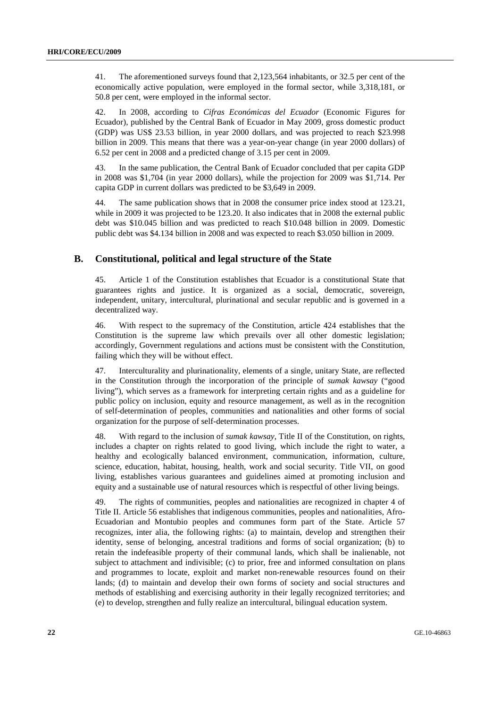41. The aforementioned surveys found that 2,123,564 inhabitants, or 32.5 per cent of the economically active population, were employed in the formal sector, while 3,318,181, or 50.8 per cent, were employed in the informal sector.

42. In 2008, according to *Cifras Económicas del Ecuador* (Economic Figures for Ecuador), published by the Central Bank of Ecuador in May 2009, gross domestic product (GDP) was US\$ 23.53 billion, in year 2000 dollars, and was projected to reach \$23.998 billion in 2009. This means that there was a year-on-year change (in year 2000 dollars) of 6.52 per cent in 2008 and a predicted change of 3.15 per cent in 2009.

43. In the same publication, the Central Bank of Ecuador concluded that per capita GDP in 2008 was \$1,704 (in year 2000 dollars), while the projection for 2009 was \$1,714. Per capita GDP in current dollars was predicted to be \$3,649 in 2009.

44. The same publication shows that in 2008 the consumer price index stood at 123.21, while in 2009 it was projected to be 123.20. It also indicates that in 2008 the external public debt was \$10.045 billion and was predicted to reach \$10.048 billion in 2009. Domestic public debt was \$4.134 billion in 2008 and was expected to reach \$3.050 billion in 2009.

### **B. Constitutional, political and legal structure of the State**

45. Article 1 of the Constitution establishes that Ecuador is a constitutional State that guarantees rights and justice. It is organized as a social, democratic, sovereign, independent, unitary, intercultural, plurinational and secular republic and is governed in a decentralized way.

46. With respect to the supremacy of the Constitution, article 424 establishes that the Constitution is the supreme law which prevails over all other domestic legislation; accordingly, Government regulations and actions must be consistent with the Constitution, failing which they will be without effect.

47. Interculturality and plurinationality, elements of a single, unitary State, are reflected in the Constitution through the incorporation of the principle of *sumak kawsay* ("good living"), which serves as a framework for interpreting certain rights and as a guideline for public policy on inclusion, equity and resource management, as well as in the recognition of self-determination of peoples, communities and nationalities and other forms of social organization for the purpose of self-determination processes.

48. With regard to the inclusion of *sumak kawsay*, Title II of the Constitution, on rights, includes a chapter on rights related to good living, which include the right to water, a healthy and ecologically balanced environment, communication, information, culture, science, education, habitat, housing, health, work and social security. Title VII, on good living, establishes various guarantees and guidelines aimed at promoting inclusion and equity and a sustainable use of natural resources which is respectful of other living beings.

49. The rights of communities, peoples and nationalities are recognized in chapter 4 of Title II. Article 56 establishes that indigenous communities, peoples and nationalities, Afro-Ecuadorian and Montubio peoples and communes form part of the State. Article 57 recognizes, inter alia, the following rights: (a) to maintain, develop and strengthen their identity, sense of belonging, ancestral traditions and forms of social organization; (b) to retain the indefeasible property of their communal lands, which shall be inalienable, not subject to attachment and indivisible; (c) to prior, free and informed consultation on plans and programmes to locate, exploit and market non-renewable resources found on their lands; (d) to maintain and develop their own forms of society and social structures and methods of establishing and exercising authority in their legally recognized territories; and (e) to develop, strengthen and fully realize an intercultural, bilingual education system.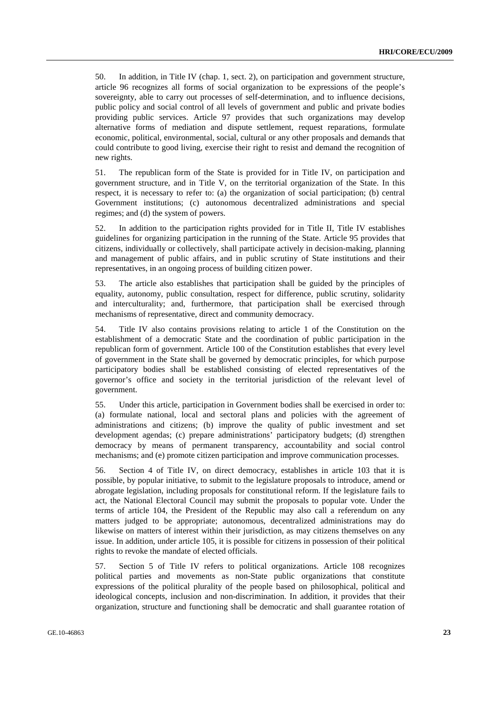50. In addition, in Title IV (chap. 1, sect. 2), on participation and government structure, article 96 recognizes all forms of social organization to be expressions of the people's sovereignty, able to carry out processes of self-determination, and to influence decisions, public policy and social control of all levels of government and public and private bodies providing public services. Article 97 provides that such organizations may develop alternative forms of mediation and dispute settlement, request reparations, formulate economic, political, environmental, social, cultural or any other proposals and demands that could contribute to good living, exercise their right to resist and demand the recognition of new rights.

51. The republican form of the State is provided for in Title IV, on participation and government structure, and in Title V, on the territorial organization of the State. In this respect, it is necessary to refer to: (a) the organization of social participation; (b) central Government institutions; (c) autonomous decentralized administrations and special regimes; and (d) the system of powers.

52. In addition to the participation rights provided for in Title II, Title IV establishes guidelines for organizing participation in the running of the State. Article 95 provides that citizens, individually or collectively, shall participate actively in decision-making, planning and management of public affairs, and in public scrutiny of State institutions and their representatives, in an ongoing process of building citizen power.

53. The article also establishes that participation shall be guided by the principles of equality, autonomy, public consultation, respect for difference, public scrutiny, solidarity and interculturality; and, furthermore, that participation shall be exercised through mechanisms of representative, direct and community democracy.

54. Title IV also contains provisions relating to article 1 of the Constitution on the establishment of a democratic State and the coordination of public participation in the republican form of government. Article 100 of the Constitution establishes that every level of government in the State shall be governed by democratic principles, for which purpose participatory bodies shall be established consisting of elected representatives of the governor's office and society in the territorial jurisdiction of the relevant level of government.

55. Under this article, participation in Government bodies shall be exercised in order to: (a) formulate national, local and sectoral plans and policies with the agreement of administrations and citizens; (b) improve the quality of public investment and set development agendas; (c) prepare administrations' participatory budgets; (d) strengthen democracy by means of permanent transparency, accountability and social control mechanisms; and (e) promote citizen participation and improve communication processes.

56. Section 4 of Title IV, on direct democracy, establishes in article 103 that it is possible, by popular initiative, to submit to the legislature proposals to introduce, amend or abrogate legislation, including proposals for constitutional reform. If the legislature fails to act, the National Electoral Council may submit the proposals to popular vote. Under the terms of article 104, the President of the Republic may also call a referendum on any matters judged to be appropriate; autonomous, decentralized administrations may do likewise on matters of interest within their jurisdiction, as may citizens themselves on any issue. In addition, under article 105, it is possible for citizens in possession of their political rights to revoke the mandate of elected officials.

57. Section 5 of Title IV refers to political organizations. Article 108 recognizes political parties and movements as non-State public organizations that constitute expressions of the political plurality of the people based on philosophical, political and ideological concepts, inclusion and non-discrimination. In addition, it provides that their organization, structure and functioning shall be democratic and shall guarantee rotation of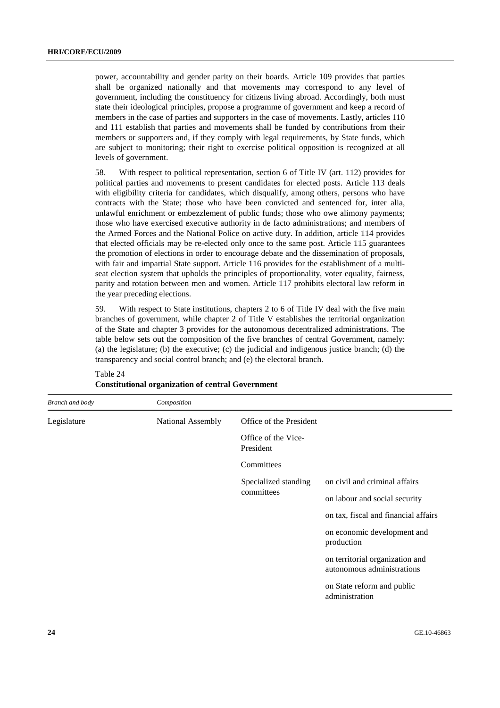power, accountability and gender parity on their boards. Article 109 provides that parties shall be organized nationally and that movements may correspond to any level of government, including the constituency for citizens living abroad. Accordingly, both must state their ideological principles, propose a programme of government and keep a record of members in the case of parties and supporters in the case of movements. Lastly, articles 110 and 111 establish that parties and movements shall be funded by contributions from their members or supporters and, if they comply with legal requirements, by State funds, which are subject to monitoring; their right to exercise political opposition is recognized at all levels of government.

58. With respect to political representation, section 6 of Title IV (art. 112) provides for political parties and movements to present candidates for elected posts. Article 113 deals with eligibility criteria for candidates, which disqualify, among others, persons who have contracts with the State; those who have been convicted and sentenced for, inter alia, unlawful enrichment or embezzlement of public funds; those who owe alimony payments; those who have exercised executive authority in de facto administrations; and members of the Armed Forces and the National Police on active duty. In addition, article 114 provides that elected officials may be re-elected only once to the same post. Article 115 guarantees the promotion of elections in order to encourage debate and the dissemination of proposals, with fair and impartial State support. Article 116 provides for the establishment of a multiseat election system that upholds the principles of proportionality, voter equality, fairness, parity and rotation between men and women. Article 117 prohibits electoral law reform in the year preceding elections.

59. With respect to State institutions, chapters 2 to 6 of Title IV deal with the five main branches of government, while chapter 2 of Title V establishes the territorial organization of the State and chapter 3 provides for the autonomous decentralized administrations. The table below sets out the composition of the five branches of central Government, namely: (a) the legislature; (b) the executive; (c) the judicial and indigenous justice branch; (d) the transparency and social control branch; and (e) the electoral branch.

| Branch and body | Composition       |                                  |                                                               |
|-----------------|-------------------|----------------------------------|---------------------------------------------------------------|
| Legislature     | National Assembly | Office of the President          |                                                               |
|                 |                   | Office of the Vice-<br>President |                                                               |
|                 |                   | Committees                       |                                                               |
|                 |                   | Specialized standing             | on civil and criminal affairs                                 |
|                 |                   | committees                       | on labour and social security                                 |
|                 |                   |                                  | on tax, fiscal and financial affairs                          |
|                 |                   |                                  | on economic development and<br>production                     |
|                 |                   |                                  | on territorial organization and<br>autonomous administrations |
|                 |                   |                                  | on State reform and public<br>administration                  |
|                 |                   |                                  |                                                               |

#### Table 24 **Constitutional organization of central Government**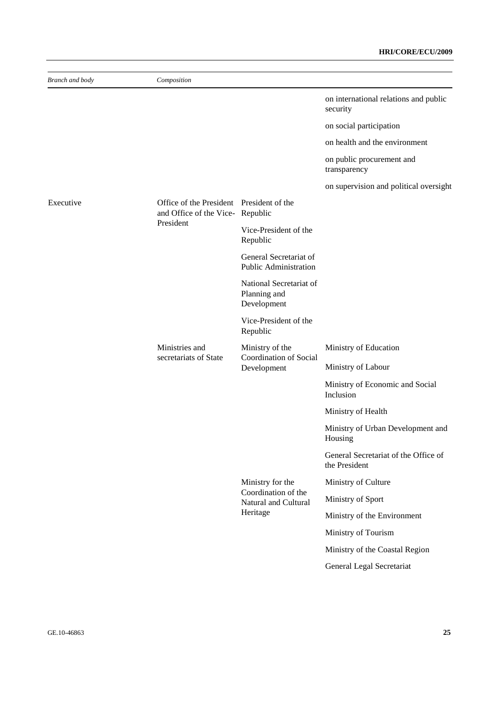| Branch and body | Composition                                                                 |                                                        |                                                       |
|-----------------|-----------------------------------------------------------------------------|--------------------------------------------------------|-------------------------------------------------------|
|                 |                                                                             |                                                        | on international relations and public<br>security     |
|                 |                                                                             |                                                        | on social participation                               |
|                 |                                                                             |                                                        | on health and the environment                         |
|                 |                                                                             |                                                        | on public procurement and<br>transparency             |
|                 |                                                                             |                                                        | on supervision and political oversight                |
| Executive       | Office of the President President of the<br>and Office of the Vice-Republic |                                                        |                                                       |
|                 | President                                                                   | Vice-President of the<br>Republic                      |                                                       |
|                 |                                                                             | General Secretariat of<br><b>Public Administration</b> |                                                       |
|                 |                                                                             | National Secretariat of<br>Planning and<br>Development |                                                       |
|                 |                                                                             | Vice-President of the<br>Republic                      |                                                       |
|                 | Ministries and                                                              | Ministry of the                                        | Ministry of Education                                 |
|                 | secretariats of State                                                       | Coordination of Social<br>Development                  | Ministry of Labour                                    |
|                 |                                                                             |                                                        | Ministry of Economic and Social<br>Inclusion          |
|                 |                                                                             |                                                        | Ministry of Health                                    |
|                 |                                                                             |                                                        | Ministry of Urban Development and<br>Housing          |
|                 |                                                                             |                                                        | General Secretariat of the Office of<br>the President |
|                 |                                                                             | Ministry for the                                       | Ministry of Culture                                   |
|                 |                                                                             | Coordination of the<br>Natural and Cultural            | Ministry of Sport                                     |
|                 |                                                                             | Heritage                                               | Ministry of the Environment                           |
|                 |                                                                             |                                                        | Ministry of Tourism                                   |
|                 |                                                                             |                                                        | Ministry of the Coastal Region                        |
|                 |                                                                             |                                                        | General Legal Secretariat                             |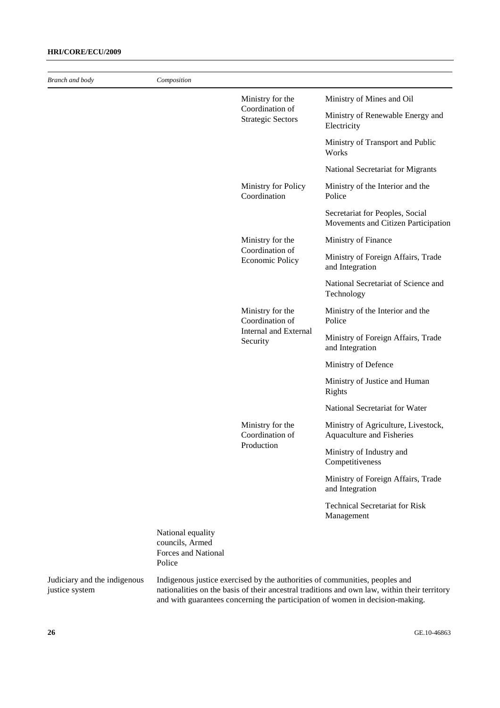### **HRI/CORE/ECU/2009**

*Branch and body Composition* 

| отипст ини оди у | Composuion                                                  |                                             |                                                                        |
|------------------|-------------------------------------------------------------|---------------------------------------------|------------------------------------------------------------------------|
|                  |                                                             | Ministry for the                            | Ministry of Mines and Oil                                              |
|                  |                                                             | Coordination of<br><b>Strategic Sectors</b> | Ministry of Renewable Energy and<br>Electricity                        |
|                  |                                                             |                                             | Ministry of Transport and Public<br>Works                              |
|                  |                                                             |                                             | National Secretariat for Migrants                                      |
|                  |                                                             | Ministry for Policy<br>Coordination         | Ministry of the Interior and the<br>Police                             |
|                  |                                                             |                                             | Secretariat for Peoples, Social<br>Movements and Citizen Participation |
|                  |                                                             | Ministry for the                            | Ministry of Finance                                                    |
|                  |                                                             | Coordination of<br><b>Economic Policy</b>   | Ministry of Foreign Affairs, Trade<br>and Integration                  |
|                  |                                                             |                                             | National Secretariat of Science and<br>Technology                      |
|                  | Ministry for the<br>Coordination of                         | Ministry of the Interior and the<br>Police  |                                                                        |
|                  |                                                             | Internal and External<br>Security           | Ministry of Foreign Affairs, Trade<br>and Integration                  |
|                  |                                                             |                                             | Ministry of Defence                                                    |
|                  |                                                             |                                             | Ministry of Justice and Human<br>Rights                                |
|                  |                                                             |                                             | National Secretariat for Water                                         |
|                  |                                                             | Ministry for the<br>Coordination of         | Ministry of Agriculture, Livestock,<br>Aquaculture and Fisheries       |
|                  |                                                             | Production                                  | Ministry of Industry and<br>Competitiveness                            |
|                  |                                                             |                                             | Ministry of Foreign Affairs, Trade<br>and Integration                  |
|                  |                                                             |                                             | <b>Technical Secretariat for Risk</b><br>Management                    |
|                  | National equality<br>councils, Armed<br>Forces and National |                                             |                                                                        |

Judiciary and the indigenous justice system

Police

Indigenous justice exercised by the authorities of communities, peoples and nationalities on the basis of their ancestral traditions and own law, within their territory and with guarantees concerning the participation of women in decision-making.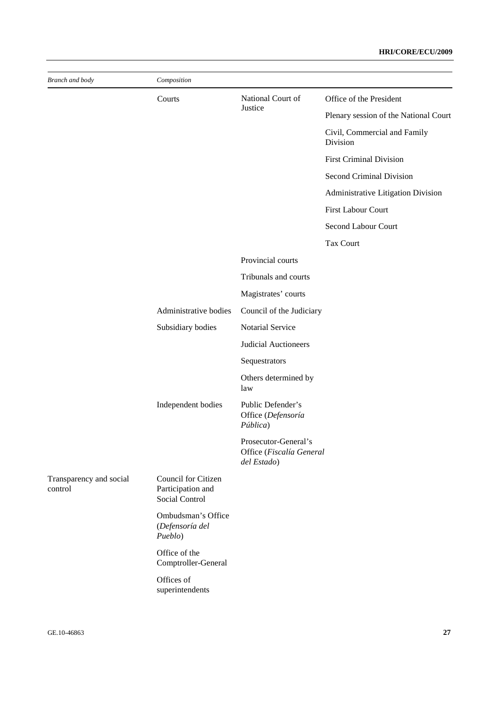| Branch and body                    | Composition                                                       |                                                                 |                                          |  |  |
|------------------------------------|-------------------------------------------------------------------|-----------------------------------------------------------------|------------------------------------------|--|--|
|                                    | Courts                                                            | National Court of                                               | Office of the President                  |  |  |
|                                    |                                                                   | Justice                                                         | Plenary session of the National Court    |  |  |
|                                    |                                                                   |                                                                 | Civil, Commercial and Family<br>Division |  |  |
|                                    |                                                                   |                                                                 | <b>First Criminal Division</b>           |  |  |
|                                    |                                                                   |                                                                 | Second Criminal Division                 |  |  |
|                                    |                                                                   |                                                                 | Administrative Litigation Division       |  |  |
|                                    |                                                                   |                                                                 | First Labour Court                       |  |  |
|                                    |                                                                   |                                                                 | Second Labour Court                      |  |  |
|                                    |                                                                   |                                                                 | <b>Tax Court</b>                         |  |  |
|                                    |                                                                   | Provincial courts                                               |                                          |  |  |
|                                    |                                                                   | Tribunals and courts                                            |                                          |  |  |
|                                    |                                                                   | Magistrates' courts                                             |                                          |  |  |
|                                    | Administrative bodies                                             | Council of the Judiciary                                        |                                          |  |  |
|                                    | Subsidiary bodies                                                 | Notarial Service                                                |                                          |  |  |
|                                    |                                                                   | Judicial Auctioneers                                            |                                          |  |  |
|                                    |                                                                   | Sequestrators                                                   |                                          |  |  |
|                                    |                                                                   | Others determined by<br>law                                     |                                          |  |  |
|                                    | Independent bodies                                                | Public Defender's<br>Office (Defensoría<br>Pública)             |                                          |  |  |
|                                    |                                                                   | Prosecutor-General's<br>Office (Fiscalía General<br>del Estado) |                                          |  |  |
| Transparency and social<br>control | Council for Citizen<br>Participation and<br><b>Social Control</b> |                                                                 |                                          |  |  |
|                                    | Ombudsman's Office<br>(Defensoría del<br>Pueblo)                  |                                                                 |                                          |  |  |
|                                    | Office of the<br>Comptroller-General                              |                                                                 |                                          |  |  |
|                                    | Offices of<br>superintendents                                     |                                                                 |                                          |  |  |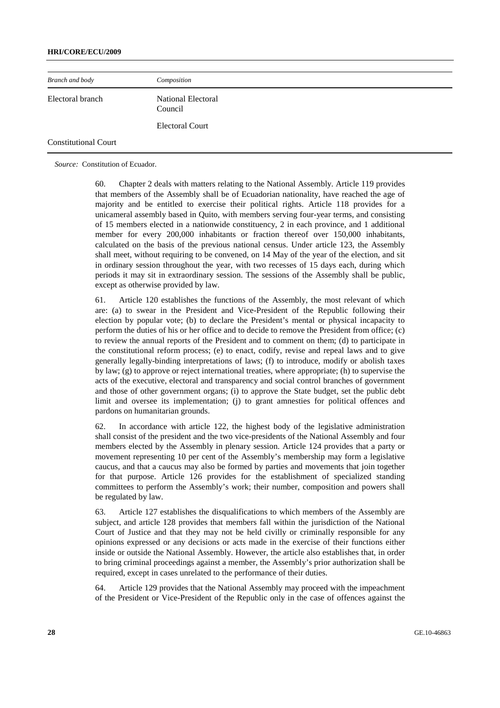#### **HRI/CORE/ECU/2009**

| Branch and body             | Composition                          |  |
|-----------------------------|--------------------------------------|--|
| Electoral branch            | <b>National Electoral</b><br>Council |  |
|                             | <b>Electoral Court</b>               |  |
| <b>Constitutional Court</b> |                                      |  |

*Source:* Constitution of Ecuador.

60. Chapter 2 deals with matters relating to the National Assembly. Article 119 provides that members of the Assembly shall be of Ecuadorian nationality, have reached the age of majority and be entitled to exercise their political rights. Article 118 provides for a unicameral assembly based in Quito, with members serving four-year terms, and consisting of 15 members elected in a nationwide constituency, 2 in each province, and 1 additional member for every 200,000 inhabitants or fraction thereof over 150,000 inhabitants, calculated on the basis of the previous national census. Under article 123, the Assembly shall meet, without requiring to be convened, on 14 May of the year of the election, and sit in ordinary session throughout the year, with two recesses of 15 days each, during which periods it may sit in extraordinary session. The sessions of the Assembly shall be public, except as otherwise provided by law.

61. Article 120 establishes the functions of the Assembly, the most relevant of which are: (a) to swear in the President and Vice-President of the Republic following their election by popular vote; (b) to declare the President's mental or physical incapacity to perform the duties of his or her office and to decide to remove the President from office; (c) to review the annual reports of the President and to comment on them; (d) to participate in the constitutional reform process; (e) to enact, codify, revise and repeal laws and to give generally legally-binding interpretations of laws; (f) to introduce, modify or abolish taxes by law; (g) to approve or reject international treaties, where appropriate; (h) to supervise the acts of the executive, electoral and transparency and social control branches of government and those of other government organs; (i) to approve the State budget, set the public debt limit and oversee its implementation; (j) to grant amnesties for political offences and pardons on humanitarian grounds.

62. In accordance with article 122, the highest body of the legislative administration shall consist of the president and the two vice-presidents of the National Assembly and four members elected by the Assembly in plenary session. Article 124 provides that a party or movement representing 10 per cent of the Assembly's membership may form a legislative caucus, and that a caucus may also be formed by parties and movements that join together for that purpose. Article 126 provides for the establishment of specialized standing committees to perform the Assembly's work; their number, composition and powers shall be regulated by law.

63. Article 127 establishes the disqualifications to which members of the Assembly are subject, and article 128 provides that members fall within the jurisdiction of the National Court of Justice and that they may not be held civilly or criminally responsible for any opinions expressed or any decisions or acts made in the exercise of their functions either inside or outside the National Assembly. However, the article also establishes that, in order to bring criminal proceedings against a member, the Assembly's prior authorization shall be required, except in cases unrelated to the performance of their duties.

64. Article 129 provides that the National Assembly may proceed with the impeachment of the President or Vice-President of the Republic only in the case of offences against the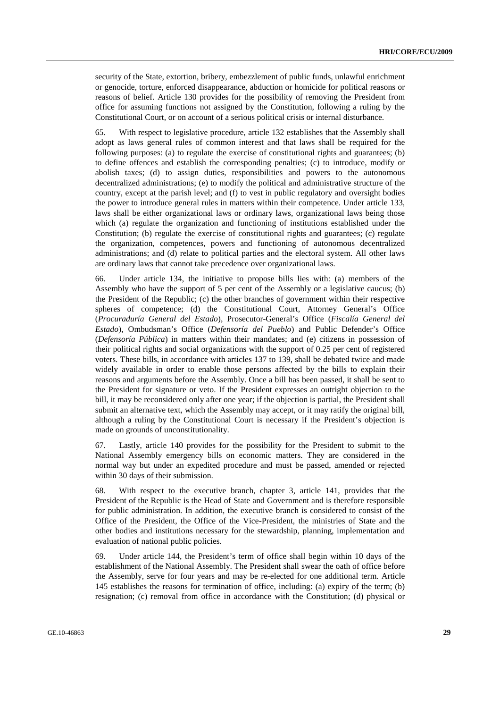security of the State, extortion, bribery, embezzlement of public funds, unlawful enrichment or genocide, torture, enforced disappearance, abduction or homicide for political reasons or reasons of belief. Article 130 provides for the possibility of removing the President from office for assuming functions not assigned by the Constitution, following a ruling by the Constitutional Court, or on account of a serious political crisis or internal disturbance.

65. With respect to legislative procedure, article 132 establishes that the Assembly shall adopt as laws general rules of common interest and that laws shall be required for the following purposes: (a) to regulate the exercise of constitutional rights and guarantees; (b) to define offences and establish the corresponding penalties; (c) to introduce, modify or abolish taxes; (d) to assign duties, responsibilities and powers to the autonomous decentralized administrations; (e) to modify the political and administrative structure of the country, except at the parish level; and (f) to vest in public regulatory and oversight bodies the power to introduce general rules in matters within their competence. Under article 133, laws shall be either organizational laws or ordinary laws, organizational laws being those which (a) regulate the organization and functioning of institutions established under the Constitution; (b) regulate the exercise of constitutional rights and guarantees; (c) regulate the organization, competences, powers and functioning of autonomous decentralized administrations; and (d) relate to political parties and the electoral system. All other laws are ordinary laws that cannot take precedence over organizational laws.

66. Under article 134, the initiative to propose bills lies with: (a) members of the Assembly who have the support of 5 per cent of the Assembly or a legislative caucus; (b) the President of the Republic; (c) the other branches of government within their respective spheres of competence; (d) the Constitutional Court, Attorney General's Office (*Procuraduría General del Estado*), Prosecutor-General's Office (*Fiscalía General del Estado*), Ombudsman's Office (*Defensoría del Pueblo*) and Public Defender's Office (*Defensoría Pública*) in matters within their mandates; and (e) citizens in possession of their political rights and social organizations with the support of 0.25 per cent of registered voters. These bills, in accordance with articles 137 to 139, shall be debated twice and made widely available in order to enable those persons affected by the bills to explain their reasons and arguments before the Assembly. Once a bill has been passed, it shall be sent to the President for signature or veto. If the President expresses an outright objection to the bill, it may be reconsidered only after one year; if the objection is partial, the President shall submit an alternative text, which the Assembly may accept, or it may ratify the original bill, although a ruling by the Constitutional Court is necessary if the President's objection is made on grounds of unconstitutionality.

67. Lastly, article 140 provides for the possibility for the President to submit to the National Assembly emergency bills on economic matters. They are considered in the normal way but under an expedited procedure and must be passed, amended or rejected within 30 days of their submission.

68. With respect to the executive branch, chapter 3, article 141, provides that the President of the Republic is the Head of State and Government and is therefore responsible for public administration. In addition, the executive branch is considered to consist of the Office of the President, the Office of the Vice-President, the ministries of State and the other bodies and institutions necessary for the stewardship, planning, implementation and evaluation of national public policies.

69. Under article 144, the President's term of office shall begin within 10 days of the establishment of the National Assembly. The President shall swear the oath of office before the Assembly, serve for four years and may be re-elected for one additional term. Article 145 establishes the reasons for termination of office, including: (a) expiry of the term; (b) resignation; (c) removal from office in accordance with the Constitution; (d) physical or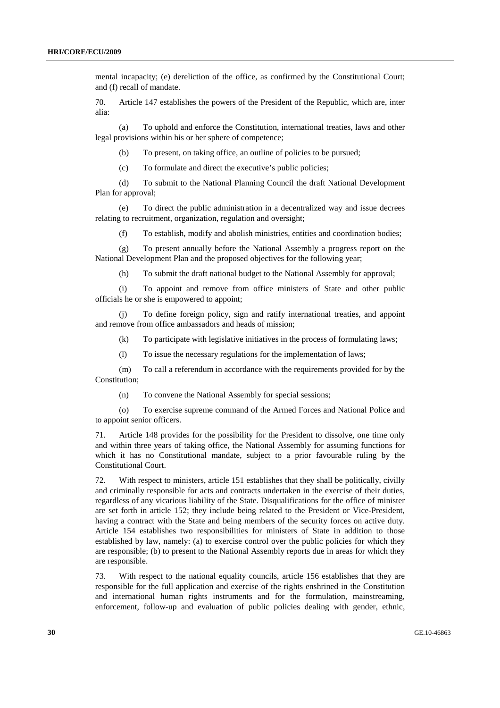mental incapacity; (e) dereliction of the office, as confirmed by the Constitutional Court; and (f) recall of mandate.

70. Article 147 establishes the powers of the President of the Republic, which are, inter alia:

 (a) To uphold and enforce the Constitution, international treaties, laws and other legal provisions within his or her sphere of competence;

(b) To present, on taking office, an outline of policies to be pursued;

(c) To formulate and direct the executive's public policies;

 (d) To submit to the National Planning Council the draft National Development Plan for approval;

 (e) To direct the public administration in a decentralized way and issue decrees relating to recruitment, organization, regulation and oversight;

(f) To establish, modify and abolish ministries, entities and coordination bodies;

 (g) To present annually before the National Assembly a progress report on the National Development Plan and the proposed objectives for the following year;

(h) To submit the draft national budget to the National Assembly for approval;

 (i) To appoint and remove from office ministers of State and other public officials he or she is empowered to appoint;

 (j) To define foreign policy, sign and ratify international treaties, and appoint and remove from office ambassadors and heads of mission;

(k) To participate with legislative initiatives in the process of formulating laws;

(l) To issue the necessary regulations for the implementation of laws;

 (m) To call a referendum in accordance with the requirements provided for by the Constitution;

(n) To convene the National Assembly for special sessions;

 (o) To exercise supreme command of the Armed Forces and National Police and to appoint senior officers.

71. Article 148 provides for the possibility for the President to dissolve, one time only and within three years of taking office, the National Assembly for assuming functions for which it has no Constitutional mandate, subject to a prior favourable ruling by the Constitutional Court.

72. With respect to ministers, article 151 establishes that they shall be politically, civilly and criminally responsible for acts and contracts undertaken in the exercise of their duties, regardless of any vicarious liability of the State. Disqualifications for the office of minister are set forth in article 152; they include being related to the President or Vice-President, having a contract with the State and being members of the security forces on active duty. Article 154 establishes two responsibilities for ministers of State in addition to those established by law, namely: (a) to exercise control over the public policies for which they are responsible; (b) to present to the National Assembly reports due in areas for which they are responsible.

73. With respect to the national equality councils, article 156 establishes that they are responsible for the full application and exercise of the rights enshrined in the Constitution and international human rights instruments and for the formulation, mainstreaming, enforcement, follow-up and evaluation of public policies dealing with gender, ethnic,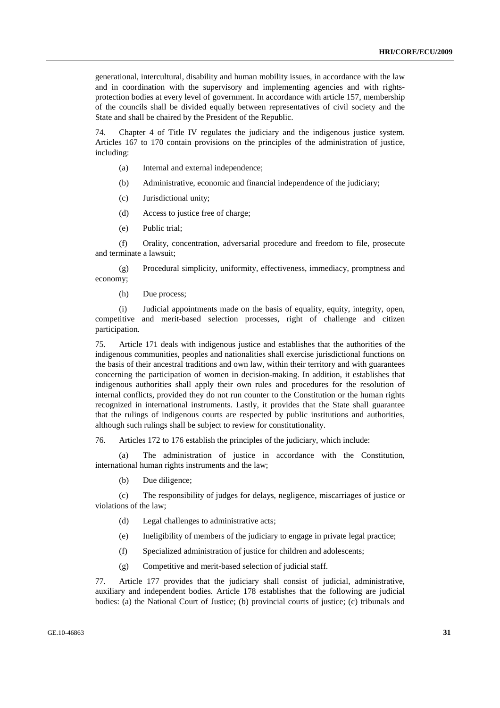generational, intercultural, disability and human mobility issues, in accordance with the law and in coordination with the supervisory and implementing agencies and with rightsprotection bodies at every level of government. In accordance with article 157, membership of the councils shall be divided equally between representatives of civil society and the State and shall be chaired by the President of the Republic.

74. Chapter 4 of Title IV regulates the judiciary and the indigenous justice system. Articles 167 to 170 contain provisions on the principles of the administration of justice, including:

- (a) Internal and external independence;
- (b) Administrative, economic and financial independence of the judiciary;
- (c) Jurisdictional unity;
- (d) Access to justice free of charge;
- (e) Public trial;

 (f) Orality, concentration, adversarial procedure and freedom to file, prosecute and terminate a lawsuit;

 (g) Procedural simplicity, uniformity, effectiveness, immediacy, promptness and economy;

(h) Due process;

 (i) Judicial appointments made on the basis of equality, equity, integrity, open, competitive and merit-based selection processes, right of challenge and citizen participation.

75. Article 171 deals with indigenous justice and establishes that the authorities of the indigenous communities, peoples and nationalities shall exercise jurisdictional functions on the basis of their ancestral traditions and own law, within their territory and with guarantees concerning the participation of women in decision-making. In addition, it establishes that indigenous authorities shall apply their own rules and procedures for the resolution of internal conflicts, provided they do not run counter to the Constitution or the human rights recognized in international instruments. Lastly, it provides that the State shall guarantee that the rulings of indigenous courts are respected by public institutions and authorities, although such rulings shall be subject to review for constitutionality.

76. Articles 172 to 176 establish the principles of the judiciary, which include:

 (a) The administration of justice in accordance with the Constitution, international human rights instruments and the law;

(b) Due diligence;

 (c) The responsibility of judges for delays, negligence, miscarriages of justice or violations of the law;

- (d) Legal challenges to administrative acts;
- (e) Ineligibility of members of the judiciary to engage in private legal practice;
- (f) Specialized administration of justice for children and adolescents;
- (g) Competitive and merit-based selection of judicial staff.

77. Article 177 provides that the judiciary shall consist of judicial, administrative, auxiliary and independent bodies. Article 178 establishes that the following are judicial bodies: (a) the National Court of Justice; (b) provincial courts of justice; (c) tribunals and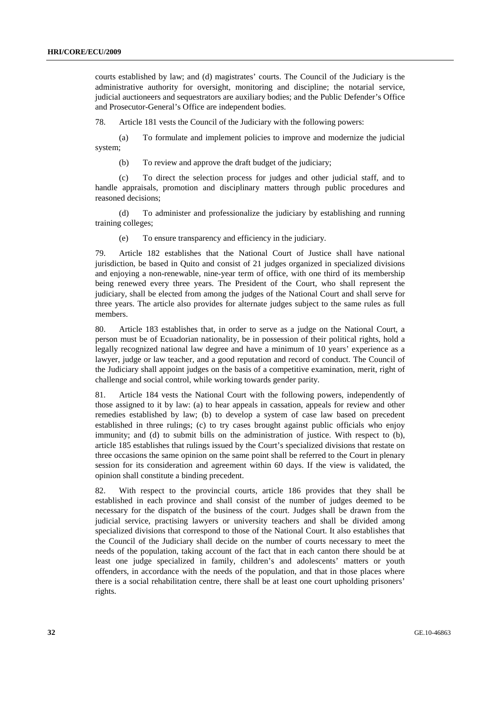courts established by law; and (d) magistrates' courts. The Council of the Judiciary is the administrative authority for oversight, monitoring and discipline; the notarial service, judicial auctioneers and sequestrators are auxiliary bodies; and the Public Defender's Office and Prosecutor-General's Office are independent bodies.

78. Article 181 vests the Council of the Judiciary with the following powers:

 (a) To formulate and implement policies to improve and modernize the judicial system;

(b) To review and approve the draft budget of the judiciary;

 (c) To direct the selection process for judges and other judicial staff, and to handle appraisals, promotion and disciplinary matters through public procedures and reasoned decisions;

 (d) To administer and professionalize the judiciary by establishing and running training colleges;

(e) To ensure transparency and efficiency in the judiciary.

79. Article 182 establishes that the National Court of Justice shall have national jurisdiction, be based in Quito and consist of 21 judges organized in specialized divisions and enjoying a non-renewable, nine-year term of office, with one third of its membership being renewed every three years. The President of the Court, who shall represent the judiciary, shall be elected from among the judges of the National Court and shall serve for three years. The article also provides for alternate judges subject to the same rules as full members.

80. Article 183 establishes that, in order to serve as a judge on the National Court, a person must be of Ecuadorian nationality, be in possession of their political rights, hold a legally recognized national law degree and have a minimum of 10 years' experience as a lawyer, judge or law teacher, and a good reputation and record of conduct. The Council of the Judiciary shall appoint judges on the basis of a competitive examination, merit, right of challenge and social control, while working towards gender parity.

81. Article 184 vests the National Court with the following powers, independently of those assigned to it by law: (a) to hear appeals in cassation, appeals for review and other remedies established by law; (b) to develop a system of case law based on precedent established in three rulings; (c) to try cases brought against public officials who enjoy immunity; and (d) to submit bills on the administration of justice. With respect to (b), article 185 establishes that rulings issued by the Court's specialized divisions that restate on three occasions the same opinion on the same point shall be referred to the Court in plenary session for its consideration and agreement within 60 days. If the view is validated, the opinion shall constitute a binding precedent.

82. With respect to the provincial courts, article 186 provides that they shall be established in each province and shall consist of the number of judges deemed to be necessary for the dispatch of the business of the court. Judges shall be drawn from the judicial service, practising lawyers or university teachers and shall be divided among specialized divisions that correspond to those of the National Court. It also establishes that the Council of the Judiciary shall decide on the number of courts necessary to meet the needs of the population, taking account of the fact that in each canton there should be at least one judge specialized in family, children's and adolescents' matters or youth offenders, in accordance with the needs of the population, and that in those places where there is a social rehabilitation centre, there shall be at least one court upholding prisoners' rights.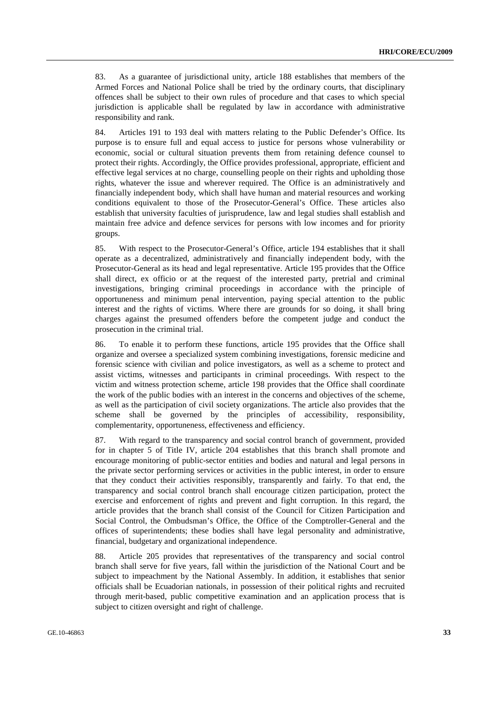83. As a guarantee of jurisdictional unity, article 188 establishes that members of the Armed Forces and National Police shall be tried by the ordinary courts, that disciplinary offences shall be subject to their own rules of procedure and that cases to which special jurisdiction is applicable shall be regulated by law in accordance with administrative responsibility and rank.

84. Articles 191 to 193 deal with matters relating to the Public Defender's Office. Its purpose is to ensure full and equal access to justice for persons whose vulnerability or economic, social or cultural situation prevents them from retaining defence counsel to protect their rights. Accordingly, the Office provides professional, appropriate, efficient and effective legal services at no charge, counselling people on their rights and upholding those rights, whatever the issue and wherever required. The Office is an administratively and financially independent body, which shall have human and material resources and working conditions equivalent to those of the Prosecutor-General's Office. These articles also establish that university faculties of jurisprudence, law and legal studies shall establish and maintain free advice and defence services for persons with low incomes and for priority groups.

85. With respect to the Prosecutor-General's Office, article 194 establishes that it shall operate as a decentralized, administratively and financially independent body, with the Prosecutor-General as its head and legal representative. Article 195 provides that the Office shall direct, ex officio or at the request of the interested party, pretrial and criminal investigations, bringing criminal proceedings in accordance with the principle of opportuneness and minimum penal intervention, paying special attention to the public interest and the rights of victims. Where there are grounds for so doing, it shall bring charges against the presumed offenders before the competent judge and conduct the prosecution in the criminal trial.

86. To enable it to perform these functions, article 195 provides that the Office shall organize and oversee a specialized system combining investigations, forensic medicine and forensic science with civilian and police investigators, as well as a scheme to protect and assist victims, witnesses and participants in criminal proceedings. With respect to the victim and witness protection scheme, article 198 provides that the Office shall coordinate the work of the public bodies with an interest in the concerns and objectives of the scheme, as well as the participation of civil society organizations. The article also provides that the scheme shall be governed by the principles of accessibility, responsibility, complementarity, opportuneness, effectiveness and efficiency.

87. With regard to the transparency and social control branch of government, provided for in chapter 5 of Title IV, article 204 establishes that this branch shall promote and encourage monitoring of public-sector entities and bodies and natural and legal persons in the private sector performing services or activities in the public interest, in order to ensure that they conduct their activities responsibly, transparently and fairly. To that end, the transparency and social control branch shall encourage citizen participation, protect the exercise and enforcement of rights and prevent and fight corruption. In this regard, the article provides that the branch shall consist of the Council for Citizen Participation and Social Control, the Ombudsman's Office, the Office of the Comptroller-General and the offices of superintendents; these bodies shall have legal personality and administrative, financial, budgetary and organizational independence.

88. Article 205 provides that representatives of the transparency and social control branch shall serve for five years, fall within the jurisdiction of the National Court and be subject to impeachment by the National Assembly. In addition, it establishes that senior officials shall be Ecuadorian nationals, in possession of their political rights and recruited through merit-based, public competitive examination and an application process that is subject to citizen oversight and right of challenge.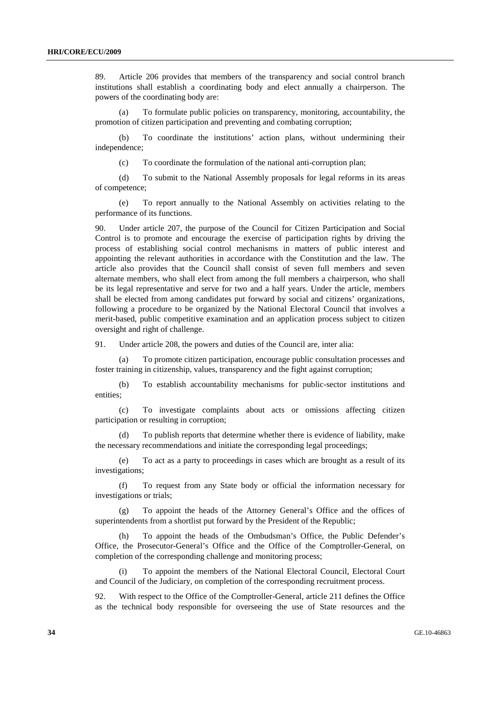89. Article 206 provides that members of the transparency and social control branch institutions shall establish a coordinating body and elect annually a chairperson. The powers of the coordinating body are:

 (a) To formulate public policies on transparency, monitoring, accountability, the promotion of citizen participation and preventing and combating corruption;

 (b) To coordinate the institutions' action plans, without undermining their independence;

(c) To coordinate the formulation of the national anti-corruption plan;

 (d) To submit to the National Assembly proposals for legal reforms in its areas of competence;

 (e) To report annually to the National Assembly on activities relating to the performance of its functions.

90. Under article 207, the purpose of the Council for Citizen Participation and Social Control is to promote and encourage the exercise of participation rights by driving the process of establishing social control mechanisms in matters of public interest and appointing the relevant authorities in accordance with the Constitution and the law. The article also provides that the Council shall consist of seven full members and seven alternate members, who shall elect from among the full members a chairperson, who shall be its legal representative and serve for two and a half years. Under the article, members shall be elected from among candidates put forward by social and citizens' organizations, following a procedure to be organized by the National Electoral Council that involves a merit-based, public competitive examination and an application process subject to citizen oversight and right of challenge.

91. Under article 208, the powers and duties of the Council are, inter alia:

 (a) To promote citizen participation, encourage public consultation processes and foster training in citizenship, values, transparency and the fight against corruption;

 (b) To establish accountability mechanisms for public-sector institutions and entities;

 (c) To investigate complaints about acts or omissions affecting citizen participation or resulting in corruption;

 (d) To publish reports that determine whether there is evidence of liability, make the necessary recommendations and initiate the corresponding legal proceedings;

 (e) To act as a party to proceedings in cases which are brought as a result of its investigations;

 (f) To request from any State body or official the information necessary for investigations or trials;

 (g) To appoint the heads of the Attorney General's Office and the offices of superintendents from a shortlist put forward by the President of the Republic;

 (h) To appoint the heads of the Ombudsman's Office, the Public Defender's Office, the Prosecutor-General's Office and the Office of the Comptroller-General, on completion of the corresponding challenge and monitoring process;

 (i) To appoint the members of the National Electoral Council, Electoral Court and Council of the Judiciary, on completion of the corresponding recruitment process.

92. With respect to the Office of the Comptroller-General, article 211 defines the Office as the technical body responsible for overseeing the use of State resources and the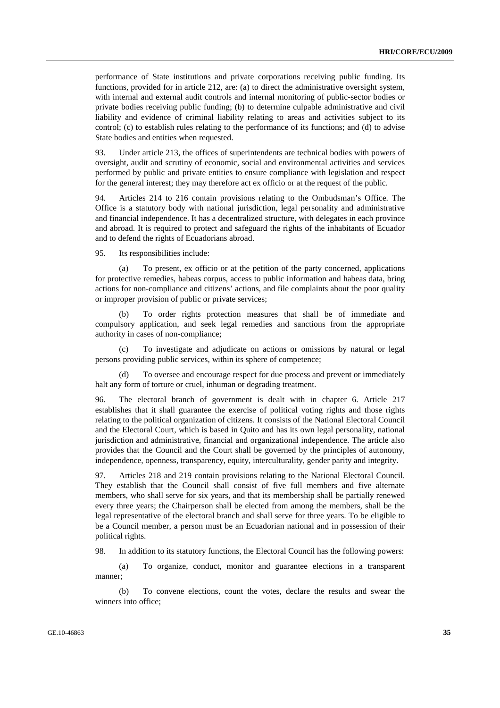performance of State institutions and private corporations receiving public funding. Its functions, provided for in article 212, are: (a) to direct the administrative oversight system, with internal and external audit controls and internal monitoring of public-sector bodies or private bodies receiving public funding; (b) to determine culpable administrative and civil liability and evidence of criminal liability relating to areas and activities subject to its control; (c) to establish rules relating to the performance of its functions; and (d) to advise State bodies and entities when requested.

93. Under article 213, the offices of superintendents are technical bodies with powers of oversight, audit and scrutiny of economic, social and environmental activities and services performed by public and private entities to ensure compliance with legislation and respect for the general interest; they may therefore act ex officio or at the request of the public.

94. Articles 214 to 216 contain provisions relating to the Ombudsman's Office. The Office is a statutory body with national jurisdiction, legal personality and administrative and financial independence. It has a decentralized structure, with delegates in each province and abroad. It is required to protect and safeguard the rights of the inhabitants of Ecuador and to defend the rights of Ecuadorians abroad.

95. Its responsibilities include:

 (a) To present, ex officio or at the petition of the party concerned, applications for protective remedies, habeas corpus, access to public information and habeas data, bring actions for non-compliance and citizens' actions, and file complaints about the poor quality or improper provision of public or private services;

 (b) To order rights protection measures that shall be of immediate and compulsory application, and seek legal remedies and sanctions from the appropriate authority in cases of non-compliance;

 (c) To investigate and adjudicate on actions or omissions by natural or legal persons providing public services, within its sphere of competence;

To oversee and encourage respect for due process and prevent or immediately halt any form of torture or cruel, inhuman or degrading treatment.

96. The electoral branch of government is dealt with in chapter 6. Article 217 establishes that it shall guarantee the exercise of political voting rights and those rights relating to the political organization of citizens. It consists of the National Electoral Council and the Electoral Court, which is based in Quito and has its own legal personality, national jurisdiction and administrative, financial and organizational independence. The article also provides that the Council and the Court shall be governed by the principles of autonomy, independence, openness, transparency, equity, interculturality, gender parity and integrity.

97. Articles 218 and 219 contain provisions relating to the National Electoral Council. They establish that the Council shall consist of five full members and five alternate members, who shall serve for six years, and that its membership shall be partially renewed every three years; the Chairperson shall be elected from among the members, shall be the legal representative of the electoral branch and shall serve for three years. To be eligible to be a Council member, a person must be an Ecuadorian national and in possession of their political rights.

98. In addition to its statutory functions, the Electoral Council has the following powers:

 (a) To organize, conduct, monitor and guarantee elections in a transparent manner;

 (b) To convene elections, count the votes, declare the results and swear the winners into office;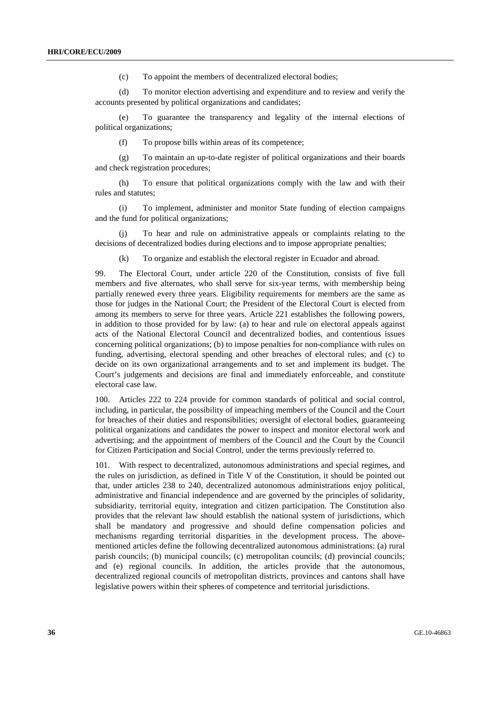(c) To appoint the members of decentralized electoral bodies;

 (d) To monitor election advertising and expenditure and to review and verify the accounts presented by political organizations and candidates;

 (e) To guarantee the transparency and legality of the internal elections of political organizations;

(f) To propose bills within areas of its competence;

 (g) To maintain an up-to-date register of political organizations and their boards and check registration procedures;

 (h) To ensure that political organizations comply with the law and with their rules and statutes;

 (i) To implement, administer and monitor State funding of election campaigns and the fund for political organizations;

 (j) To hear and rule on administrative appeals or complaints relating to the decisions of decentralized bodies during elections and to impose appropriate penalties;

(k) To organize and establish the electoral register in Ecuador and abroad.

99. The Electoral Court, under article 220 of the Constitution, consists of five full members and five alternates, who shall serve for six-year terms, with membership being partially renewed every three years. Eligibility requirements for members are the same as those for judges in the National Court; the President of the Electoral Court is elected from among its members to serve for three years. Article 221 establishes the following powers, in addition to those provided for by law: (a) to hear and rule on electoral appeals against acts of the National Electoral Council and decentralized bodies, and contentious issues concerning political organizations; (b) to impose penalties for non-compliance with rules on funding, advertising, electoral spending and other breaches of electoral rules; and (c) to decide on its own organizational arrangements and to set and implement its budget. The Court's judgements and decisions are final and immediately enforceable, and constitute electoral case law.

100. Articles 222 to 224 provide for common standards of political and social control, including, in particular, the possibility of impeaching members of the Council and the Court for breaches of their duties and responsibilities; oversight of electoral bodies, guaranteeing political organizations and candidates the power to inspect and monitor electoral work and advertising; and the appointment of members of the Council and the Court by the Council for Citizen Participation and Social Control, under the terms previously referred to.

101. With respect to decentralized, autonomous administrations and special regimes, and the rules on jurisdiction, as defined in Title V of the Constitution, it should be pointed out that, under articles 238 to 240, decentralized autonomous administrations enjoy political, administrative and financial independence and are governed by the principles of solidarity, subsidiarity, territorial equity, integration and citizen participation. The Constitution also provides that the relevant law should establish the national system of jurisdictions, which shall be mandatory and progressive and should define compensation policies and mechanisms regarding territorial disparities in the development process. The abovementioned articles define the following decentralized autonomous administrations: (a) rural parish councils; (b) municipal councils; (c) metropolitan councils; (d) provincial councils; and (e) regional councils. In addition, the articles provide that the autonomous, decentralized regional councils of metropolitan districts, provinces and cantons shall have legislative powers within their spheres of competence and territorial jurisdictions.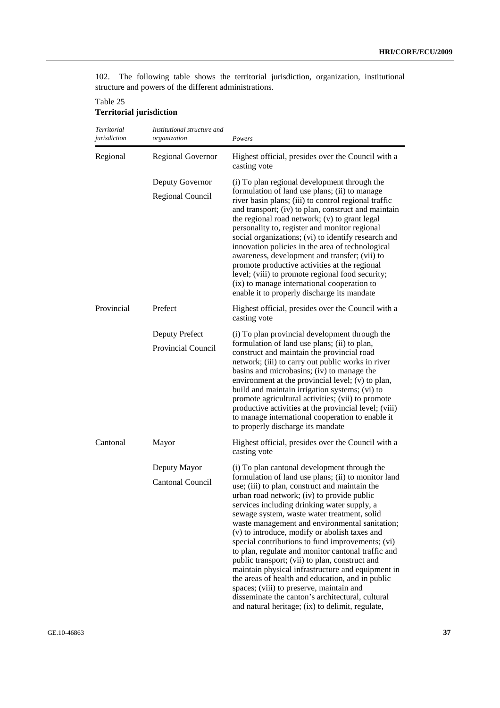102. The following table shows the territorial jurisdiction, organization, institutional structure and powers of the different administrations.

Table 25 **Territorial jurisdiction** 

| Territorial<br>jurisdiction | Institutional structure and<br>organization | Powers                                                                                                                                                                                                                                                                                                                                                                                                                                                                                                                                                                                                                                                                                                                                                                                                                        |
|-----------------------------|---------------------------------------------|-------------------------------------------------------------------------------------------------------------------------------------------------------------------------------------------------------------------------------------------------------------------------------------------------------------------------------------------------------------------------------------------------------------------------------------------------------------------------------------------------------------------------------------------------------------------------------------------------------------------------------------------------------------------------------------------------------------------------------------------------------------------------------------------------------------------------------|
| Regional                    | <b>Regional Governor</b>                    | Highest official, presides over the Council with a<br>casting vote                                                                                                                                                                                                                                                                                                                                                                                                                                                                                                                                                                                                                                                                                                                                                            |
|                             | Deputy Governor<br>Regional Council         | (i) To plan regional development through the<br>formulation of land use plans; (ii) to manage<br>river basin plans; (iii) to control regional traffic<br>and transport; (iv) to plan, construct and maintain<br>the regional road network; (v) to grant legal<br>personality to, register and monitor regional<br>social organizations; (vi) to identify research and<br>innovation policies in the area of technological<br>awareness, development and transfer; (vii) to<br>promote productive activities at the regional<br>level; (viii) to promote regional food security;<br>(ix) to manage international cooperation to<br>enable it to properly discharge its mandate                                                                                                                                                 |
| Provincial                  | Prefect                                     | Highest official, presides over the Council with a<br>casting vote                                                                                                                                                                                                                                                                                                                                                                                                                                                                                                                                                                                                                                                                                                                                                            |
|                             | Deputy Prefect<br><b>Provincial Council</b> | (i) To plan provincial development through the<br>formulation of land use plans; (ii) to plan,<br>construct and maintain the provincial road<br>network; (iii) to carry out public works in river<br>basins and microbasins; (iv) to manage the<br>environment at the provincial level; (v) to plan,<br>build and maintain irrigation systems; (vi) to<br>promote agricultural activities; (vii) to promote<br>productive activities at the provincial level; (viii)<br>to manage international cooperation to enable it<br>to properly discharge its mandate                                                                                                                                                                                                                                                                 |
| Cantonal                    | Mayor                                       | Highest official, presides over the Council with a<br>casting vote                                                                                                                                                                                                                                                                                                                                                                                                                                                                                                                                                                                                                                                                                                                                                            |
|                             | Deputy Mayor<br>Cantonal Council            | (i) To plan cantonal development through the<br>formulation of land use plans; (ii) to monitor land<br>use; (iii) to plan, construct and maintain the<br>urban road network; (iv) to provide public<br>services including drinking water supply, a<br>sewage system, waste water treatment, solid<br>waste management and environmental sanitation;<br>(v) to introduce, modify or abolish taxes and<br>special contributions to fund improvements; (vi)<br>to plan, regulate and monitor cantonal traffic and<br>public transport; (vii) to plan, construct and<br>maintain physical infrastructure and equipment in<br>the areas of health and education, and in public<br>spaces; (viii) to preserve, maintain and<br>disseminate the canton's architectural, cultural<br>and natural heritage; (ix) to delimit, regulate, |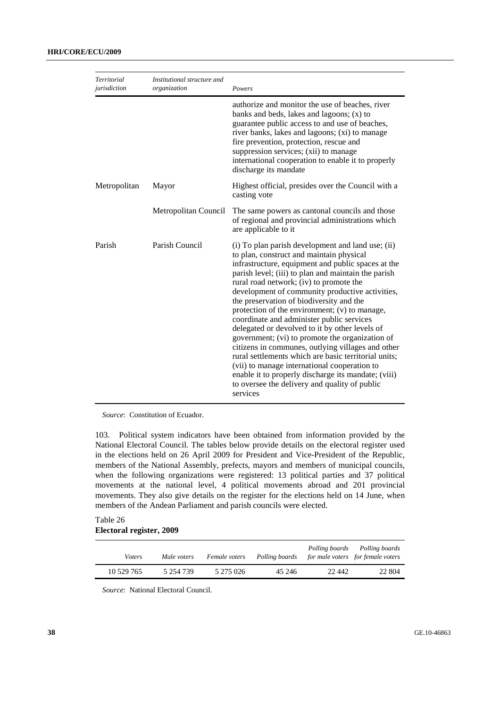| <b>Territorial</b><br>jurisdiction | Institutional structure and<br>organization | Powers                                                                                                                                                                                                                                                                                                                                                                                                                                                                                                                                                                                                                                                                                                                                                                                                                                   |
|------------------------------------|---------------------------------------------|------------------------------------------------------------------------------------------------------------------------------------------------------------------------------------------------------------------------------------------------------------------------------------------------------------------------------------------------------------------------------------------------------------------------------------------------------------------------------------------------------------------------------------------------------------------------------------------------------------------------------------------------------------------------------------------------------------------------------------------------------------------------------------------------------------------------------------------|
|                                    |                                             | authorize and monitor the use of beaches, river<br>banks and beds, lakes and lagoons; $(x)$ to<br>guarantee public access to and use of beaches,<br>river banks, lakes and lagoons; (xi) to manage<br>fire prevention, protection, rescue and<br>suppression services; (xii) to manage<br>international cooperation to enable it to properly<br>discharge its mandate                                                                                                                                                                                                                                                                                                                                                                                                                                                                    |
| Metropolitan                       | Mayor                                       | Highest official, presides over the Council with a<br>casting vote                                                                                                                                                                                                                                                                                                                                                                                                                                                                                                                                                                                                                                                                                                                                                                       |
|                                    | Metropolitan Council                        | The same powers as cantonal councils and those<br>of regional and provincial administrations which<br>are applicable to it                                                                                                                                                                                                                                                                                                                                                                                                                                                                                                                                                                                                                                                                                                               |
| Parish                             | Parish Council                              | (i) To plan parish development and land use; (ii)<br>to plan, construct and maintain physical<br>infrastructure, equipment and public spaces at the<br>parish level; (iii) to plan and maintain the parish<br>rural road network; (iv) to promote the<br>development of community productive activities,<br>the preservation of biodiversity and the<br>protection of the environment; (v) to manage,<br>coordinate and administer public services<br>delegated or devolved to it by other levels of<br>government; (vi) to promote the organization of<br>citizens in communes, outlying villages and other<br>rural settlements which are basic territorial units;<br>(vii) to manage international cooperation to<br>enable it to properly discharge its mandate; (viii)<br>to oversee the delivery and quality of public<br>services |

*Source*: Constitution of Ecuador.

103. Political system indicators have been obtained from information provided by the National Electoral Council. The tables below provide details on the electoral register used in the elections held on 26 April 2009 for President and Vice-President of the Republic, members of the National Assembly, prefects, mayors and members of municipal councils, when the following organizations were registered: 13 political parties and 37 political movements at the national level, 4 political movements abroad and 201 provincial movements. They also give details on the register for the elections held on 14 June, when members of the Andean Parliament and parish councils were elected.

### Table 26 **Electoral register, 2009**

| <i>Voters</i> | Male voters | Female voters | Polling boards | Polling boards | Polling boards<br>for male voters for female voters |
|---------------|-------------|---------------|----------------|----------------|-----------------------------------------------------|
| 10 529 765    | 5 254 739   | 5 275 026     | 45 246         | 22.442         | 22 804                                              |

*Source*: National Electoral Council.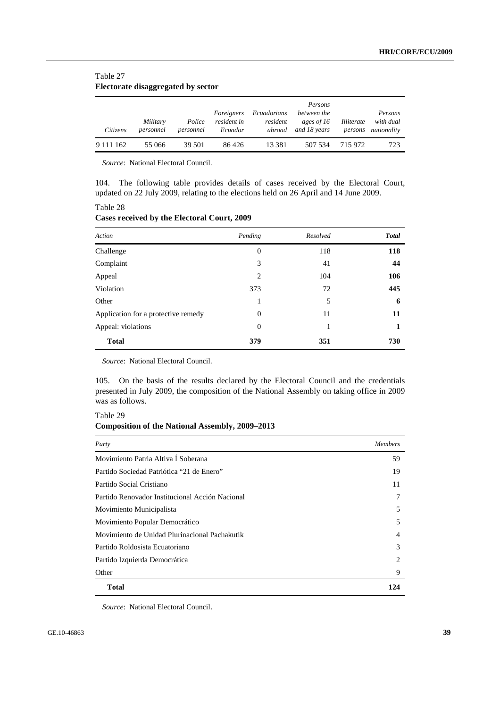#### Table 27 **Electorate disaggregated by sector**

| Citizens        | Military<br>personnel | Police<br>personnel | Foreigners<br>resident in<br>Ecuador | Ecuadorians<br>resident<br>abroad | Persons<br>between the<br>ages of 16<br>and 18 years | Illiterate<br>persons | Persons<br>with dual<br>nationality |
|-----------------|-----------------------|---------------------|--------------------------------------|-----------------------------------|------------------------------------------------------|-----------------------|-------------------------------------|
| 9 1 1 1 1 1 6 2 | 55 066                | 39 501              | 86426                                | 13 3 8 1                          | 507 534                                              | 715 972               | 723                                 |

*Source*: National Electoral Council.

104. The following table provides details of cases received by the Electoral Court, updated on 22 July 2009, relating to the elections held on 26 April and 14 June 2009.

Table 28 **Cases received by the Electoral Court, 2009** 

| Action                              | Pending        | Resolved | <b>Total</b> |
|-------------------------------------|----------------|----------|--------------|
| Challenge                           | $\overline{0}$ | 118      | 118          |
| Complaint                           | 3              | 41       | 44           |
| Appeal                              | 2              | 104      | 106          |
| Violation                           | 373            | 72       | 445          |
| Other                               |                | 5        | 6            |
| Application for a protective remedy | $\Omega$       | 11       | 11           |
| Appeal: violations                  | $\overline{0}$ | 1        |              |
| <b>Total</b>                        | 379            | 351      | 730          |

*Source*: National Electoral Council.

105. On the basis of the results declared by the Electoral Council and the credentials presented in July 2009, the composition of the National Assembly on taking office in 2009 was as follows.

Table 29 **Composition of the National Assembly, 2009–2013** 

| Party                                           | <i>Members</i> |
|-------------------------------------------------|----------------|
| Movimiento Patria Altiva I Soberana             | 59             |
| Partido Sociedad Patriótica "21 de Enero"       | 19             |
| Partido Social Cristiano                        | 11             |
| Partido Renovador Institucional Acción Nacional | 7              |
| Movimiento Municipalista                        | 5              |
| Movimiento Popular Democrático                  | 5              |
| Movimiento de Unidad Plurinacional Pachakutik   | $\overline{4}$ |
| Partido Roldosista Ecuatoriano                  | 3              |
| Partido Izquierda Democrática                   | 2              |
| Other                                           | 9              |
| <b>Total</b>                                    | 124            |

*Source*: National Electoral Council.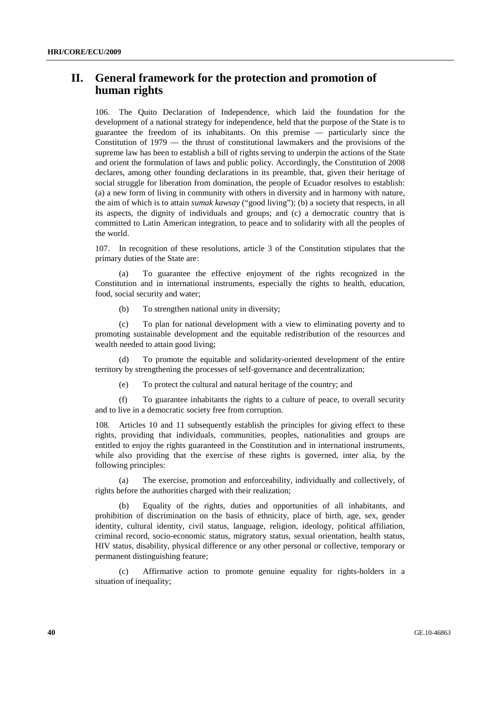# **II. General framework for the protection and promotion of human rights**

106. The Quito Declaration of Independence, which laid the foundation for the development of a national strategy for independence, held that the purpose of the State is to guarantee the freedom of its inhabitants. On this premise — particularly since the Constitution of 1979 — the thrust of constitutional lawmakers and the provisions of the supreme law has been to establish a bill of rights serving to underpin the actions of the State and orient the formulation of laws and public policy. Accordingly, the Constitution of 2008 declares, among other founding declarations in its preamble, that, given their heritage of social struggle for liberation from domination, the people of Ecuador resolves to establish: (a) a new form of living in community with others in diversity and in harmony with nature, the aim of which is to attain *sumak kawsay* ("good living"); (b) a society that respects, in all its aspects, the dignity of individuals and groups; and (c) a democratic country that is committed to Latin American integration, to peace and to solidarity with all the peoples of the world.

107. In recognition of these resolutions, article 3 of the Constitution stipulates that the primary duties of the State are:

 (a) To guarantee the effective enjoyment of the rights recognized in the Constitution and in international instruments, especially the rights to health, education, food, social security and water;

(b) To strengthen national unity in diversity;

 (c) To plan for national development with a view to eliminating poverty and to promoting sustainable development and the equitable redistribution of the resources and wealth needed to attain good living;

 (d) To promote the equitable and solidarity-oriented development of the entire territory by strengthening the processes of self-governance and decentralization;

(e) To protect the cultural and natural heritage of the country; and

 (f) To guarantee inhabitants the rights to a culture of peace, to overall security and to live in a democratic society free from corruption.

Articles 10 and 11 subsequently establish the principles for giving effect to these rights, providing that individuals, communities, peoples, nationalities and groups are entitled to enjoy the rights guaranteed in the Constitution and in international instruments, while also providing that the exercise of these rights is governed, inter alia, by the following principles:

 (a) The exercise, promotion and enforceability, individually and collectively, of rights before the authorities charged with their realization;

 (b) Equality of the rights, duties and opportunities of all inhabitants, and prohibition of discrimination on the basis of ethnicity, place of birth, age, sex, gender identity, cultural identity, civil status, language, religion, ideology, political affiliation, criminal record, socio-economic status, migratory status, sexual orientation, health status, HIV status, disability, physical difference or any other personal or collective, temporary or permanent distinguishing feature;

 (c) Affirmative action to promote genuine equality for rights-holders in a situation of inequality;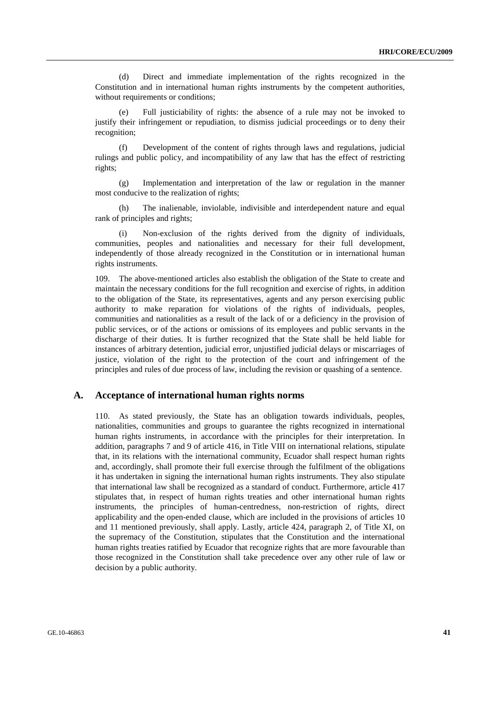(d) Direct and immediate implementation of the rights recognized in the Constitution and in international human rights instruments by the competent authorities, without requirements or conditions;

 (e) Full justiciability of rights: the absence of a rule may not be invoked to justify their infringement or repudiation, to dismiss judicial proceedings or to deny their recognition;

 (f) Development of the content of rights through laws and regulations, judicial rulings and public policy, and incompatibility of any law that has the effect of restricting rights;

 (g) Implementation and interpretation of the law or regulation in the manner most conducive to the realization of rights;

 (h) The inalienable, inviolable, indivisible and interdependent nature and equal rank of principles and rights;

 (i) Non-exclusion of the rights derived from the dignity of individuals, communities, peoples and nationalities and necessary for their full development, independently of those already recognized in the Constitution or in international human rights instruments.

109. The above-mentioned articles also establish the obligation of the State to create and maintain the necessary conditions for the full recognition and exercise of rights, in addition to the obligation of the State, its representatives, agents and any person exercising public authority to make reparation for violations of the rights of individuals, peoples, communities and nationalities as a result of the lack of or a deficiency in the provision of public services, or of the actions or omissions of its employees and public servants in the discharge of their duties. It is further recognized that the State shall be held liable for instances of arbitrary detention, judicial error, unjustified judicial delays or miscarriages of justice, violation of the right to the protection of the court and infringement of the principles and rules of due process of law, including the revision or quashing of a sentence.

#### **A. Acceptance of international human rights norms**

110. As stated previously, the State has an obligation towards individuals, peoples, nationalities, communities and groups to guarantee the rights recognized in international human rights instruments, in accordance with the principles for their interpretation. In addition, paragraphs 7 and 9 of article 416, in Title VIII on international relations, stipulate that, in its relations with the international community, Ecuador shall respect human rights and, accordingly, shall promote their full exercise through the fulfilment of the obligations it has undertaken in signing the international human rights instruments. They also stipulate that international law shall be recognized as a standard of conduct. Furthermore, article 417 stipulates that, in respect of human rights treaties and other international human rights instruments, the principles of human-centredness, non-restriction of rights, direct applicability and the open-ended clause, which are included in the provisions of articles 10 and 11 mentioned previously, shall apply. Lastly, article 424, paragraph 2, of Title XI, on the supremacy of the Constitution, stipulates that the Constitution and the international human rights treaties ratified by Ecuador that recognize rights that are more favourable than those recognized in the Constitution shall take precedence over any other rule of law or decision by a public authority.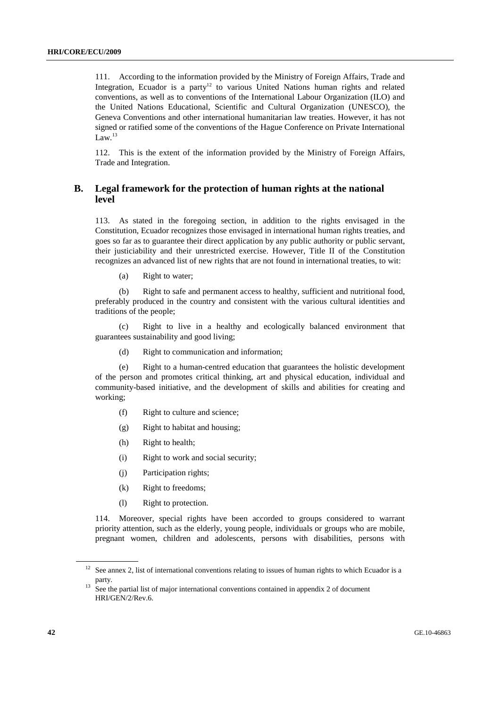111. According to the information provided by the Ministry of Foreign Affairs, Trade and Integration, Ecuador is a party<sup>12</sup> to various United Nations human rights and related conventions, as well as to conventions of the International Labour Organization (ILO) and the United Nations Educational, Scientific and Cultural Organization (UNESCO), the Geneva Conventions and other international humanitarian law treaties. However, it has not signed or ratified some of the conventions of the Hague Conference on Private International Law. $^{13}$ 

112. This is the extent of the information provided by the Ministry of Foreign Affairs, Trade and Integration.

### **B. Legal framework for the protection of human rights at the national level**

113. As stated in the foregoing section, in addition to the rights envisaged in the Constitution, Ecuador recognizes those envisaged in international human rights treaties, and goes so far as to guarantee their direct application by any public authority or public servant, their justiciability and their unrestricted exercise. However, Title II of the Constitution recognizes an advanced list of new rights that are not found in international treaties, to wit:

(a) Right to water;

 (b) Right to safe and permanent access to healthy, sufficient and nutritional food, preferably produced in the country and consistent with the various cultural identities and traditions of the people;

 (c) Right to live in a healthy and ecologically balanced environment that guarantees sustainability and good living;

(d) Right to communication and information;

 (e) Right to a human-centred education that guarantees the holistic development of the person and promotes critical thinking, art and physical education, individual and community-based initiative, and the development of skills and abilities for creating and working;

- (f) Right to culture and science;
- (g) Right to habitat and housing;
- (h) Right to health;
- (i) Right to work and social security;
- (j) Participation rights;
- (k) Right to freedoms;
- (l) Right to protection.

114. Moreover, special rights have been accorded to groups considered to warrant priority attention, such as the elderly, young people, individuals or groups who are mobile, pregnant women, children and adolescents, persons with disabilities, persons with

<sup>&</sup>lt;sup>12</sup> See annex 2, list of international conventions relating to issues of human rights to which Ecuador is a

party. 13 See the partial list of major international conventions contained in appendix 2 of document HRI/GEN/2/Rev.6.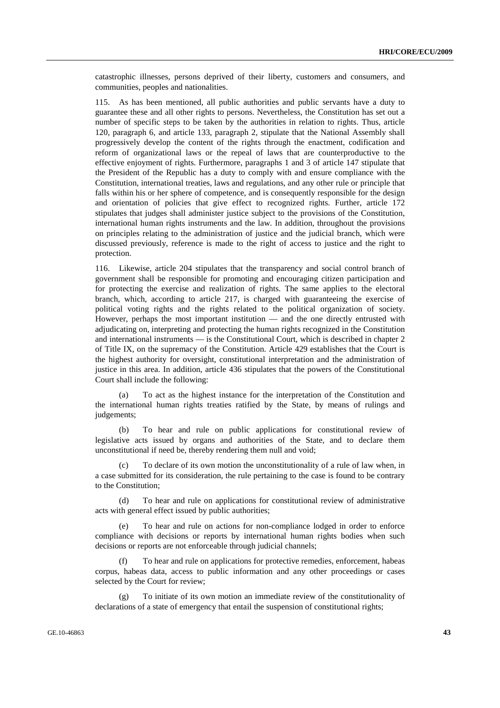catastrophic illnesses, persons deprived of their liberty, customers and consumers, and communities, peoples and nationalities.

115. As has been mentioned, all public authorities and public servants have a duty to guarantee these and all other rights to persons. Nevertheless, the Constitution has set out a number of specific steps to be taken by the authorities in relation to rights. Thus, article 120, paragraph 6, and article 133, paragraph 2, stipulate that the National Assembly shall progressively develop the content of the rights through the enactment, codification and reform of organizational laws or the repeal of laws that are counterproductive to the effective enjoyment of rights. Furthermore, paragraphs 1 and 3 of article 147 stipulate that the President of the Republic has a duty to comply with and ensure compliance with the Constitution, international treaties, laws and regulations, and any other rule or principle that falls within his or her sphere of competence, and is consequently responsible for the design and orientation of policies that give effect to recognized rights. Further, article 172 stipulates that judges shall administer justice subject to the provisions of the Constitution, international human rights instruments and the law. In addition, throughout the provisions on principles relating to the administration of justice and the judicial branch, which were discussed previously, reference is made to the right of access to justice and the right to protection.

116. Likewise, article 204 stipulates that the transparency and social control branch of government shall be responsible for promoting and encouraging citizen participation and for protecting the exercise and realization of rights. The same applies to the electoral branch, which, according to article 217, is charged with guaranteeing the exercise of political voting rights and the rights related to the political organization of society. However, perhaps the most important institution — and the one directly entrusted with adjudicating on, interpreting and protecting the human rights recognized in the Constitution and international instruments — is the Constitutional Court, which is described in chapter 2 of Title IX, on the supremacy of the Constitution. Article 429 establishes that the Court is the highest authority for oversight, constitutional interpretation and the administration of justice in this area. In addition, article 436 stipulates that the powers of the Constitutional Court shall include the following:

To act as the highest instance for the interpretation of the Constitution and the international human rights treaties ratified by the State, by means of rulings and judgements;

 (b) To hear and rule on public applications for constitutional review of legislative acts issued by organs and authorities of the State, and to declare them unconstitutional if need be, thereby rendering them null and void;

 (c) To declare of its own motion the unconstitutionality of a rule of law when, in a case submitted for its consideration, the rule pertaining to the case is found to be contrary to the Constitution;

 (d) To hear and rule on applications for constitutional review of administrative acts with general effect issued by public authorities;

To hear and rule on actions for non-compliance lodged in order to enforce compliance with decisions or reports by international human rights bodies when such decisions or reports are not enforceable through judicial channels;

To hear and rule on applications for protective remedies, enforcement, habeas corpus, habeas data, access to public information and any other proceedings or cases selected by the Court for review;

To initiate of its own motion an immediate review of the constitutionality of declarations of a state of emergency that entail the suspension of constitutional rights;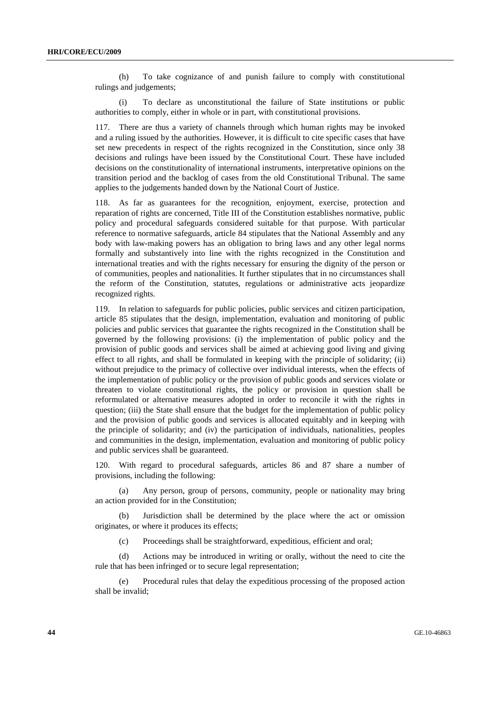(h) To take cognizance of and punish failure to comply with constitutional rulings and judgements;

 (i) To declare as unconstitutional the failure of State institutions or public authorities to comply, either in whole or in part, with constitutional provisions.

117. There are thus a variety of channels through which human rights may be invoked and a ruling issued by the authorities. However, it is difficult to cite specific cases that have set new precedents in respect of the rights recognized in the Constitution, since only 38 decisions and rulings have been issued by the Constitutional Court. These have included decisions on the constitutionality of international instruments, interpretative opinions on the transition period and the backlog of cases from the old Constitutional Tribunal. The same applies to the judgements handed down by the National Court of Justice.

118. As far as guarantees for the recognition, enjoyment, exercise, protection and reparation of rights are concerned, Title III of the Constitution establishes normative, public policy and procedural safeguards considered suitable for that purpose. With particular reference to normative safeguards, article 84 stipulates that the National Assembly and any body with law-making powers has an obligation to bring laws and any other legal norms formally and substantively into line with the rights recognized in the Constitution and international treaties and with the rights necessary for ensuring the dignity of the person or of communities, peoples and nationalities. It further stipulates that in no circumstances shall the reform of the Constitution, statutes, regulations or administrative acts jeopardize recognized rights.

119. In relation to safeguards for public policies, public services and citizen participation, article 85 stipulates that the design, implementation, evaluation and monitoring of public policies and public services that guarantee the rights recognized in the Constitution shall be governed by the following provisions: (i) the implementation of public policy and the provision of public goods and services shall be aimed at achieving good living and giving effect to all rights, and shall be formulated in keeping with the principle of solidarity; (ii) without prejudice to the primacy of collective over individual interests, when the effects of the implementation of public policy or the provision of public goods and services violate or threaten to violate constitutional rights, the policy or provision in question shall be reformulated or alternative measures adopted in order to reconcile it with the rights in question; (iii) the State shall ensure that the budget for the implementation of public policy and the provision of public goods and services is allocated equitably and in keeping with the principle of solidarity; and (iv) the participation of individuals, nationalities, peoples and communities in the design, implementation, evaluation and monitoring of public policy and public services shall be guaranteed.

120. With regard to procedural safeguards, articles 86 and 87 share a number of provisions, including the following:

 (a) Any person, group of persons, community, people or nationality may bring an action provided for in the Constitution;

 (b) Jurisdiction shall be determined by the place where the act or omission originates, or where it produces its effects;

(c) Proceedings shall be straightforward, expeditious, efficient and oral;

 (d) Actions may be introduced in writing or orally, without the need to cite the rule that has been infringed or to secure legal representation;

 (e) Procedural rules that delay the expeditious processing of the proposed action shall be invalid;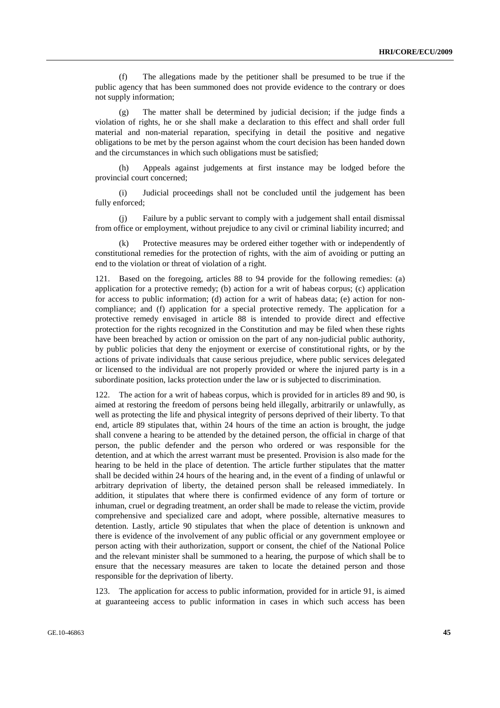(f) The allegations made by the petitioner shall be presumed to be true if the public agency that has been summoned does not provide evidence to the contrary or does not supply information;

 (g) The matter shall be determined by judicial decision; if the judge finds a violation of rights, he or she shall make a declaration to this effect and shall order full material and non-material reparation, specifying in detail the positive and negative obligations to be met by the person against whom the court decision has been handed down and the circumstances in which such obligations must be satisfied;

 (h) Appeals against judgements at first instance may be lodged before the provincial court concerned;

 (i) Judicial proceedings shall not be concluded until the judgement has been fully enforced;

 (j) Failure by a public servant to comply with a judgement shall entail dismissal from office or employment, without prejudice to any civil or criminal liability incurred; and

Protective measures may be ordered either together with or independently of constitutional remedies for the protection of rights, with the aim of avoiding or putting an end to the violation or threat of violation of a right.

121. Based on the foregoing, articles 88 to 94 provide for the following remedies: (a) application for a protective remedy; (b) action for a writ of habeas corpus; (c) application for access to public information; (d) action for a writ of habeas data; (e) action for noncompliance; and (f) application for a special protective remedy. The application for a protective remedy envisaged in article 88 is intended to provide direct and effective protection for the rights recognized in the Constitution and may be filed when these rights have been breached by action or omission on the part of any non-judicial public authority, by public policies that deny the enjoyment or exercise of constitutional rights, or by the actions of private individuals that cause serious prejudice, where public services delegated or licensed to the individual are not properly provided or where the injured party is in a subordinate position, lacks protection under the law or is subjected to discrimination.

122. The action for a writ of habeas corpus, which is provided for in articles 89 and 90, is aimed at restoring the freedom of persons being held illegally, arbitrarily or unlawfully, as well as protecting the life and physical integrity of persons deprived of their liberty. To that end, article 89 stipulates that, within 24 hours of the time an action is brought, the judge shall convene a hearing to be attended by the detained person, the official in charge of that person, the public defender and the person who ordered or was responsible for the detention, and at which the arrest warrant must be presented. Provision is also made for the hearing to be held in the place of detention. The article further stipulates that the matter shall be decided within 24 hours of the hearing and, in the event of a finding of unlawful or arbitrary deprivation of liberty, the detained person shall be released immediately. In addition, it stipulates that where there is confirmed evidence of any form of torture or inhuman, cruel or degrading treatment, an order shall be made to release the victim, provide comprehensive and specialized care and adopt, where possible, alternative measures to detention. Lastly, article 90 stipulates that when the place of detention is unknown and there is evidence of the involvement of any public official or any government employee or person acting with their authorization, support or consent, the chief of the National Police and the relevant minister shall be summoned to a hearing, the purpose of which shall be to ensure that the necessary measures are taken to locate the detained person and those responsible for the deprivation of liberty.

123. The application for access to public information, provided for in article 91, is aimed at guaranteeing access to public information in cases in which such access has been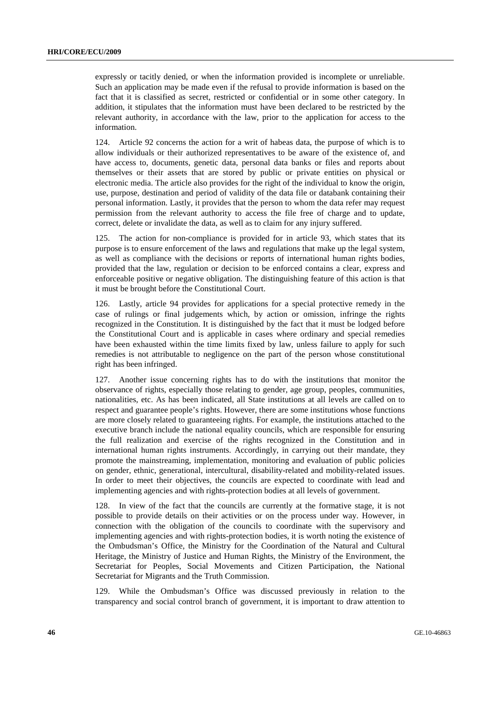expressly or tacitly denied, or when the information provided is incomplete or unreliable. Such an application may be made even if the refusal to provide information is based on the fact that it is classified as secret, restricted or confidential or in some other category. In addition, it stipulates that the information must have been declared to be restricted by the relevant authority, in accordance with the law, prior to the application for access to the information.

124. Article 92 concerns the action for a writ of habeas data, the purpose of which is to allow individuals or their authorized representatives to be aware of the existence of, and have access to, documents, genetic data, personal data banks or files and reports about themselves or their assets that are stored by public or private entities on physical or electronic media. The article also provides for the right of the individual to know the origin, use, purpose, destination and period of validity of the data file or databank containing their personal information. Lastly, it provides that the person to whom the data refer may request permission from the relevant authority to access the file free of charge and to update, correct, delete or invalidate the data, as well as to claim for any injury suffered.

125. The action for non-compliance is provided for in article 93, which states that its purpose is to ensure enforcement of the laws and regulations that make up the legal system, as well as compliance with the decisions or reports of international human rights bodies, provided that the law, regulation or decision to be enforced contains a clear, express and enforceable positive or negative obligation. The distinguishing feature of this action is that it must be brought before the Constitutional Court.

126. Lastly, article 94 provides for applications for a special protective remedy in the case of rulings or final judgements which, by action or omission, infringe the rights recognized in the Constitution. It is distinguished by the fact that it must be lodged before the Constitutional Court and is applicable in cases where ordinary and special remedies have been exhausted within the time limits fixed by law, unless failure to apply for such remedies is not attributable to negligence on the part of the person whose constitutional right has been infringed.

127. Another issue concerning rights has to do with the institutions that monitor the observance of rights, especially those relating to gender, age group, peoples, communities, nationalities, etc. As has been indicated, all State institutions at all levels are called on to respect and guarantee people's rights. However, there are some institutions whose functions are more closely related to guaranteeing rights. For example, the institutions attached to the executive branch include the national equality councils, which are responsible for ensuring the full realization and exercise of the rights recognized in the Constitution and in international human rights instruments. Accordingly, in carrying out their mandate, they promote the mainstreaming, implementation, monitoring and evaluation of public policies on gender, ethnic, generational, intercultural, disability-related and mobility-related issues. In order to meet their objectives, the councils are expected to coordinate with lead and implementing agencies and with rights-protection bodies at all levels of government.

128. In view of the fact that the councils are currently at the formative stage, it is not possible to provide details on their activities or on the process under way. However, in connection with the obligation of the councils to coordinate with the supervisory and implementing agencies and with rights-protection bodies, it is worth noting the existence of the Ombudsman's Office, the Ministry for the Coordination of the Natural and Cultural Heritage, the Ministry of Justice and Human Rights, the Ministry of the Environment, the Secretariat for Peoples, Social Movements and Citizen Participation, the National Secretariat for Migrants and the Truth Commission.

129. While the Ombudsman's Office was discussed previously in relation to the transparency and social control branch of government, it is important to draw attention to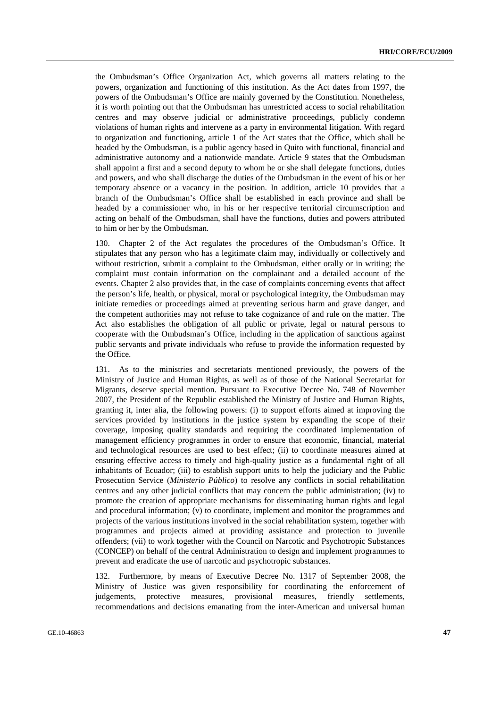the Ombudsman's Office Organization Act, which governs all matters relating to the powers, organization and functioning of this institution. As the Act dates from 1997, the powers of the Ombudsman's Office are mainly governed by the Constitution. Nonetheless, it is worth pointing out that the Ombudsman has unrestricted access to social rehabilitation centres and may observe judicial or administrative proceedings, publicly condemn violations of human rights and intervene as a party in environmental litigation. With regard to organization and functioning, article 1 of the Act states that the Office, which shall be headed by the Ombudsman, is a public agency based in Quito with functional, financial and administrative autonomy and a nationwide mandate. Article 9 states that the Ombudsman shall appoint a first and a second deputy to whom he or she shall delegate functions, duties and powers, and who shall discharge the duties of the Ombudsman in the event of his or her temporary absence or a vacancy in the position. In addition, article 10 provides that a branch of the Ombudsman's Office shall be established in each province and shall be headed by a commissioner who, in his or her respective territorial circumscription and acting on behalf of the Ombudsman, shall have the functions, duties and powers attributed to him or her by the Ombudsman.

130. Chapter 2 of the Act regulates the procedures of the Ombudsman's Office. It stipulates that any person who has a legitimate claim may, individually or collectively and without restriction, submit a complaint to the Ombudsman, either orally or in writing; the complaint must contain information on the complainant and a detailed account of the events. Chapter 2 also provides that, in the case of complaints concerning events that affect the person's life, health, or physical, moral or psychological integrity, the Ombudsman may initiate remedies or proceedings aimed at preventing serious harm and grave danger, and the competent authorities may not refuse to take cognizance of and rule on the matter. The Act also establishes the obligation of all public or private, legal or natural persons to cooperate with the Ombudsman's Office, including in the application of sanctions against public servants and private individuals who refuse to provide the information requested by the Office.

131. As to the ministries and secretariats mentioned previously, the powers of the Ministry of Justice and Human Rights, as well as of those of the National Secretariat for Migrants, deserve special mention. Pursuant to Executive Decree No. 748 of November 2007, the President of the Republic established the Ministry of Justice and Human Rights, granting it, inter alia, the following powers: (i) to support efforts aimed at improving the services provided by institutions in the justice system by expanding the scope of their coverage, imposing quality standards and requiring the coordinated implementation of management efficiency programmes in order to ensure that economic, financial, material and technological resources are used to best effect; (ii) to coordinate measures aimed at ensuring effective access to timely and high-quality justice as a fundamental right of all inhabitants of Ecuador; (iii) to establish support units to help the judiciary and the Public Prosecution Service (*Ministerio Público*) to resolve any conflicts in social rehabilitation centres and any other judicial conflicts that may concern the public administration; (iv) to promote the creation of appropriate mechanisms for disseminating human rights and legal and procedural information; (v) to coordinate, implement and monitor the programmes and projects of the various institutions involved in the social rehabilitation system, together with programmes and projects aimed at providing assistance and protection to juvenile offenders; (vii) to work together with the Council on Narcotic and Psychotropic Substances (CONCEP) on behalf of the central Administration to design and implement programmes to prevent and eradicate the use of narcotic and psychotropic substances.

132. Furthermore, by means of Executive Decree No. 1317 of September 2008, the Ministry of Justice was given responsibility for coordinating the enforcement of judgements, protective measures, provisional measures, friendly settlements, recommendations and decisions emanating from the inter-American and universal human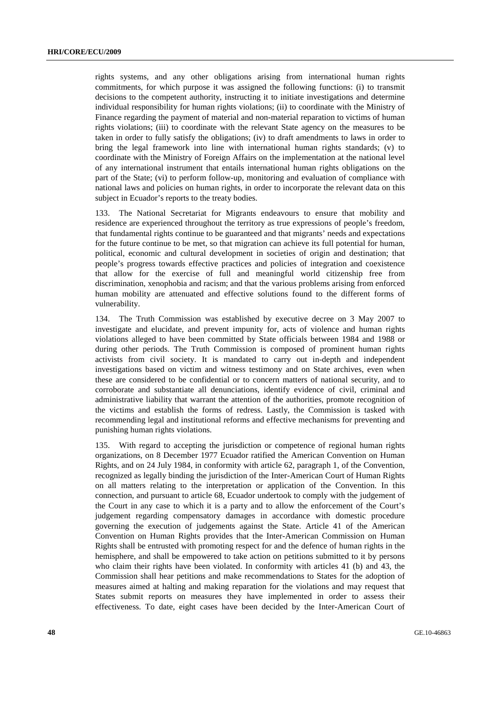rights systems, and any other obligations arising from international human rights commitments, for which purpose it was assigned the following functions: (i) to transmit decisions to the competent authority, instructing it to initiate investigations and determine individual responsibility for human rights violations; (ii) to coordinate with the Ministry of Finance regarding the payment of material and non-material reparation to victims of human rights violations; (iii) to coordinate with the relevant State agency on the measures to be taken in order to fully satisfy the obligations; (iv) to draft amendments to laws in order to bring the legal framework into line with international human rights standards; (v) to coordinate with the Ministry of Foreign Affairs on the implementation at the national level of any international instrument that entails international human rights obligations on the part of the State; (vi) to perform follow-up, monitoring and evaluation of compliance with national laws and policies on human rights, in order to incorporate the relevant data on this subject in Ecuador's reports to the treaty bodies.

133. The National Secretariat for Migrants endeavours to ensure that mobility and residence are experienced throughout the territory as true expressions of people's freedom, that fundamental rights continue to be guaranteed and that migrants' needs and expectations for the future continue to be met, so that migration can achieve its full potential for human, political, economic and cultural development in societies of origin and destination; that people's progress towards effective practices and policies of integration and coexistence that allow for the exercise of full and meaningful world citizenship free from discrimination, xenophobia and racism; and that the various problems arising from enforced human mobility are attenuated and effective solutions found to the different forms of vulnerability.

134. The Truth Commission was established by executive decree on 3 May 2007 to investigate and elucidate, and prevent impunity for, acts of violence and human rights violations alleged to have been committed by State officials between 1984 and 1988 or during other periods. The Truth Commission is composed of prominent human rights activists from civil society. It is mandated to carry out in-depth and independent investigations based on victim and witness testimony and on State archives, even when these are considered to be confidential or to concern matters of national security, and to corroborate and substantiate all denunciations, identify evidence of civil, criminal and administrative liability that warrant the attention of the authorities, promote recognition of the victims and establish the forms of redress. Lastly, the Commission is tasked with recommending legal and institutional reforms and effective mechanisms for preventing and punishing human rights violations.

135. With regard to accepting the jurisdiction or competence of regional human rights organizations, on 8 December 1977 Ecuador ratified the American Convention on Human Rights, and on 24 July 1984, in conformity with article 62, paragraph 1, of the Convention, recognized as legally binding the jurisdiction of the Inter-American Court of Human Rights on all matters relating to the interpretation or application of the Convention. In this connection, and pursuant to article 68, Ecuador undertook to comply with the judgement of the Court in any case to which it is a party and to allow the enforcement of the Court's judgement regarding compensatory damages in accordance with domestic procedure governing the execution of judgements against the State. Article 41 of the American Convention on Human Rights provides that the Inter-American Commission on Human Rights shall be entrusted with promoting respect for and the defence of human rights in the hemisphere, and shall be empowered to take action on petitions submitted to it by persons who claim their rights have been violated. In conformity with articles 41 (b) and 43, the Commission shall hear petitions and make recommendations to States for the adoption of measures aimed at halting and making reparation for the violations and may request that States submit reports on measures they have implemented in order to assess their effectiveness. To date, eight cases have been decided by the Inter-American Court of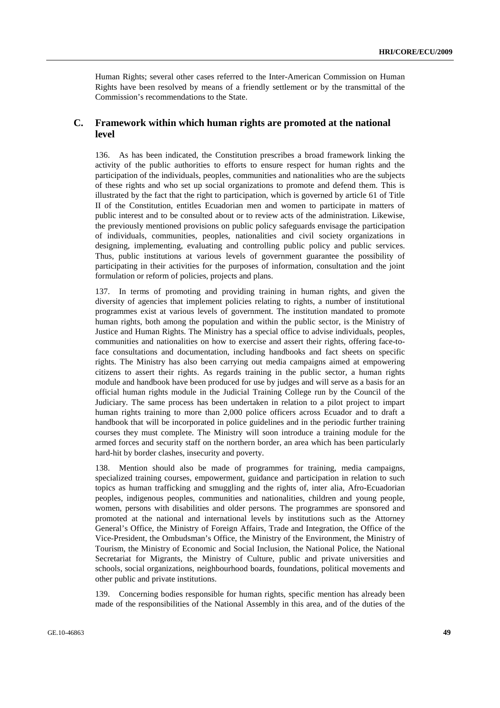Human Rights; several other cases referred to the Inter-American Commission on Human Rights have been resolved by means of a friendly settlement or by the transmittal of the Commission's recommendations to the State.

### **C. Framework within which human rights are promoted at the national level**

136. As has been indicated, the Constitution prescribes a broad framework linking the activity of the public authorities to efforts to ensure respect for human rights and the participation of the individuals, peoples, communities and nationalities who are the subjects of these rights and who set up social organizations to promote and defend them. This is illustrated by the fact that the right to participation, which is governed by article 61 of Title II of the Constitution, entitles Ecuadorian men and women to participate in matters of public interest and to be consulted about or to review acts of the administration. Likewise, the previously mentioned provisions on public policy safeguards envisage the participation of individuals, communities, peoples, nationalities and civil society organizations in designing, implementing, evaluating and controlling public policy and public services. Thus, public institutions at various levels of government guarantee the possibility of participating in their activities for the purposes of information, consultation and the joint formulation or reform of policies, projects and plans.

137. In terms of promoting and providing training in human rights, and given the diversity of agencies that implement policies relating to rights, a number of institutional programmes exist at various levels of government. The institution mandated to promote human rights, both among the population and within the public sector, is the Ministry of Justice and Human Rights. The Ministry has a special office to advise individuals, peoples, communities and nationalities on how to exercise and assert their rights, offering face-toface consultations and documentation, including handbooks and fact sheets on specific rights. The Ministry has also been carrying out media campaigns aimed at empowering citizens to assert their rights. As regards training in the public sector, a human rights module and handbook have been produced for use by judges and will serve as a basis for an official human rights module in the Judicial Training College run by the Council of the Judiciary. The same process has been undertaken in relation to a pilot project to impart human rights training to more than 2,000 police officers across Ecuador and to draft a handbook that will be incorporated in police guidelines and in the periodic further training courses they must complete. The Ministry will soon introduce a training module for the armed forces and security staff on the northern border, an area which has been particularly hard-hit by border clashes, insecurity and poverty.

138. Mention should also be made of programmes for training, media campaigns, specialized training courses, empowerment, guidance and participation in relation to such topics as human trafficking and smuggling and the rights of, inter alia, Afro-Ecuadorian peoples, indigenous peoples, communities and nationalities, children and young people, women, persons with disabilities and older persons. The programmes are sponsored and promoted at the national and international levels by institutions such as the Attorney General's Office, the Ministry of Foreign Affairs, Trade and Integration, the Office of the Vice-President, the Ombudsman's Office, the Ministry of the Environment, the Ministry of Tourism, the Ministry of Economic and Social Inclusion, the National Police, the National Secretariat for Migrants, the Ministry of Culture, public and private universities and schools, social organizations, neighbourhood boards, foundations, political movements and other public and private institutions.

139. Concerning bodies responsible for human rights, specific mention has already been made of the responsibilities of the National Assembly in this area, and of the duties of the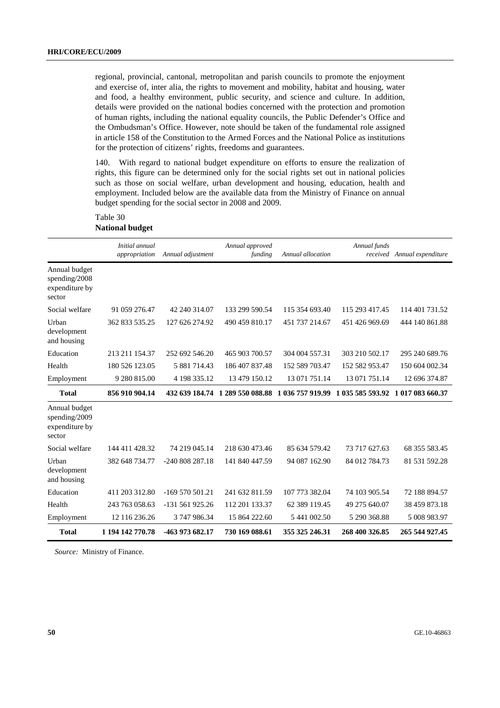regional, provincial, cantonal, metropolitan and parish councils to promote the enjoyment and exercise of, inter alia, the rights to movement and mobility, habitat and housing, water and food, a healthy environment, public security, and science and culture. In addition, details were provided on the national bodies concerned with the protection and promotion of human rights, including the national equality councils, the Public Defender's Office and the Ombudsman's Office. However, note should be taken of the fundamental role assigned in article 158 of the Constitution to the Armed Forces and the National Police as institutions for the protection of citizens' rights, freedoms and guarantees.

140. With regard to national budget expenditure on efforts to ensure the realization of rights, this figure can be determined only for the social rights set out in national policies such as those on social welfare, urban development and housing, education, health and employment. Included below are the available data from the Ministry of Finance on annual budget spending for the social sector in 2008 and 2009.

#### Table 30 **National budget**

|                                                            | Initial annual<br>appropriation | Annual adjustment | Annual approved<br>funding      | Annual allocation | Annual funds     | received Annual expenditure |
|------------------------------------------------------------|---------------------------------|-------------------|---------------------------------|-------------------|------------------|-----------------------------|
| Annual budget<br>spending/2008<br>expenditure by<br>sector |                                 |                   |                                 |                   |                  |                             |
| Social welfare                                             | 91 059 276.47                   | 42 240 314.07     | 133 299 590.54                  | 115 354 693.40    | 115 293 417.45   | 114 401 731 52              |
| Urban<br>development<br>and housing                        | 362 833 535.25                  | 127 626 274.92    | 490 459 810.17                  | 451 737 214.67    | 451 426 969.69   | 444 140 861.88              |
| Education                                                  | 213 211 154.37                  | 252 692 546.20    | 465 903 700.57                  | 304 004 557.31    | 303 210 502.17   | 295 240 689.76              |
| Health                                                     | 180 526 123.05                  | 5 881 714.43      | 186 407 837.48                  | 152 589 703.47    | 152 582 953.47   | 150 604 002.34              |
| Employment                                                 | 9 280 815.00                    | 4 198 335.12      | 13 479 150.12                   | 13 071 751.14     | 13 071 751.14    | 12 696 374.87               |
| <b>Total</b>                                               | 856 910 904.14                  |                   | 432 639 184.74 1 289 550 088.88 | 1 036 757 919.99  | 1 035 585 593.92 | 1 017 083 660.37            |
| Annual budget<br>spending/2009<br>expenditure by<br>sector |                                 |                   |                                 |                   |                  |                             |
| Social welfare                                             | 144 411 428.32                  | 74 219 045.14     | 218 630 473.46                  | 85 634 579.42     | 73 717 627.63    | 68 355 583.45               |
| Urban<br>development<br>and housing                        | 382 648 734.77                  | -240 808 287.18   | 141 840 447.59                  | 94 087 162.90     | 84 012 784.73    | 81 531 592.28               |
| Education                                                  | 411 203 312.80                  | $-169570501.21$   | 241 632 811.59                  | 107 773 382.04    | 74 103 905.54    | 72 188 894.57               |
| Health                                                     | 243 763 058.63                  | -131 561 925.26   | 112 201 133.37                  | 62 389 119.45     | 49 275 640.07    | 38 459 873.18               |
| Employment                                                 | 12 116 236.26                   | 3 747 986.34      | 15 864 222.60                   | 5 441 002.50      | 5 290 368.88     | 5 008 983.97                |
| <b>Total</b>                                               | 1 194 142 770.78                | -463 973 682.17   | 730 169 088.61                  | 355 325 246.31    | 268 400 326.85   | 265 544 927.45              |

*Source:* Ministry of Finance.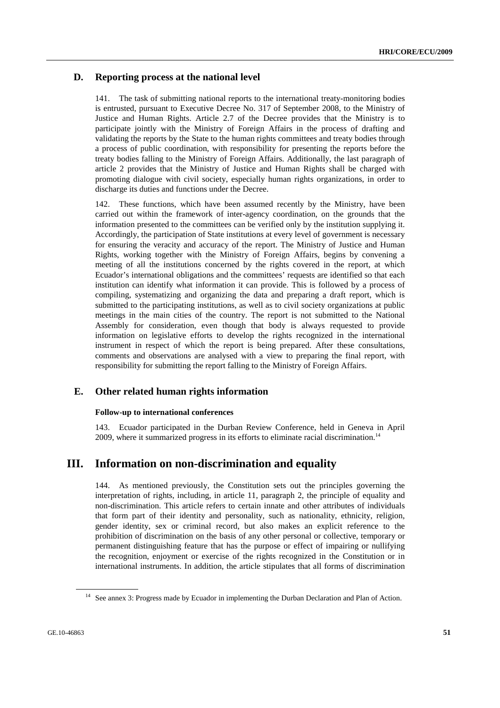### **D. Reporting process at the national level**

141. The task of submitting national reports to the international treaty-monitoring bodies is entrusted, pursuant to Executive Decree No. 317 of September 2008, to the Ministry of Justice and Human Rights. Article 2.7 of the Decree provides that the Ministry is to participate jointly with the Ministry of Foreign Affairs in the process of drafting and validating the reports by the State to the human rights committees and treaty bodies through a process of public coordination, with responsibility for presenting the reports before the treaty bodies falling to the Ministry of Foreign Affairs. Additionally, the last paragraph of article 2 provides that the Ministry of Justice and Human Rights shall be charged with promoting dialogue with civil society, especially human rights organizations, in order to discharge its duties and functions under the Decree.

142. These functions, which have been assumed recently by the Ministry, have been carried out within the framework of inter-agency coordination, on the grounds that the information presented to the committees can be verified only by the institution supplying it. Accordingly, the participation of State institutions at every level of government is necessary for ensuring the veracity and accuracy of the report. The Ministry of Justice and Human Rights, working together with the Ministry of Foreign Affairs, begins by convening a meeting of all the institutions concerned by the rights covered in the report, at which Ecuador's international obligations and the committees' requests are identified so that each institution can identify what information it can provide. This is followed by a process of compiling, systematizing and organizing the data and preparing a draft report, which is submitted to the participating institutions, as well as to civil society organizations at public meetings in the main cities of the country. The report is not submitted to the National Assembly for consideration, even though that body is always requested to provide information on legislative efforts to develop the rights recognized in the international instrument in respect of which the report is being prepared. After these consultations, comments and observations are analysed with a view to preparing the final report, with responsibility for submitting the report falling to the Ministry of Foreign Affairs.

### **E. Other related human rights information**

#### **Follow-up to international conferences**

143. Ecuador participated in the Durban Review Conference, held in Geneva in April 2009, where it summarized progress in its efforts to eliminate racial discrimination.<sup>14</sup>

### **III. Information on non-discrimination and equality**

144. As mentioned previously, the Constitution sets out the principles governing the interpretation of rights, including, in article 11, paragraph 2, the principle of equality and non-discrimination. This article refers to certain innate and other attributes of individuals that form part of their identity and personality, such as nationality, ethnicity, religion, gender identity, sex or criminal record, but also makes an explicit reference to the prohibition of discrimination on the basis of any other personal or collective, temporary or permanent distinguishing feature that has the purpose or effect of impairing or nullifying the recognition, enjoyment or exercise of the rights recognized in the Constitution or in international instruments. In addition, the article stipulates that all forms of discrimination

<sup>&</sup>lt;sup>14</sup> See annex 3: Progress made by Ecuador in implementing the Durban Declaration and Plan of Action.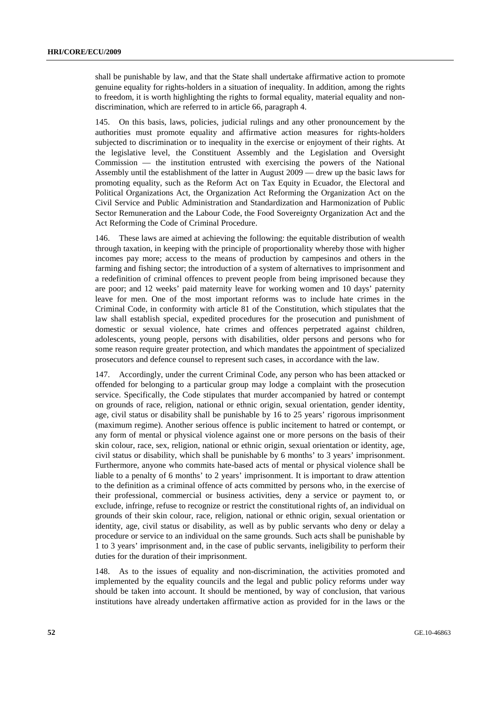shall be punishable by law, and that the State shall undertake affirmative action to promote genuine equality for rights-holders in a situation of inequality. In addition, among the rights to freedom, it is worth highlighting the rights to formal equality, material equality and nondiscrimination, which are referred to in article 66, paragraph 4.

145. On this basis, laws, policies, judicial rulings and any other pronouncement by the authorities must promote equality and affirmative action measures for rights-holders subjected to discrimination or to inequality in the exercise or enjoyment of their rights. At the legislative level, the Constituent Assembly and the Legislation and Oversight Commission — the institution entrusted with exercising the powers of the National Assembly until the establishment of the latter in August 2009 — drew up the basic laws for promoting equality, such as the Reform Act on Tax Equity in Ecuador, the Electoral and Political Organizations Act, the Organization Act Reforming the Organization Act on the Civil Service and Public Administration and Standardization and Harmonization of Public Sector Remuneration and the Labour Code, the Food Sovereignty Organization Act and the Act Reforming the Code of Criminal Procedure.

146. These laws are aimed at achieving the following: the equitable distribution of wealth through taxation, in keeping with the principle of proportionality whereby those with higher incomes pay more; access to the means of production by campesinos and others in the farming and fishing sector; the introduction of a system of alternatives to imprisonment and a redefinition of criminal offences to prevent people from being imprisoned because they are poor; and 12 weeks' paid maternity leave for working women and 10 days' paternity leave for men. One of the most important reforms was to include hate crimes in the Criminal Code, in conformity with article 81 of the Constitution, which stipulates that the law shall establish special, expedited procedures for the prosecution and punishment of domestic or sexual violence, hate crimes and offences perpetrated against children, adolescents, young people, persons with disabilities, older persons and persons who for some reason require greater protection, and which mandates the appointment of specialized prosecutors and defence counsel to represent such cases, in accordance with the law.

147. Accordingly, under the current Criminal Code, any person who has been attacked or offended for belonging to a particular group may lodge a complaint with the prosecution service. Specifically, the Code stipulates that murder accompanied by hatred or contempt on grounds of race, religion, national or ethnic origin, sexual orientation, gender identity, age, civil status or disability shall be punishable by 16 to 25 years' rigorous imprisonment (maximum regime). Another serious offence is public incitement to hatred or contempt, or any form of mental or physical violence against one or more persons on the basis of their skin colour, race, sex, religion, national or ethnic origin, sexual orientation or identity, age, civil status or disability, which shall be punishable by 6 months' to 3 years' imprisonment. Furthermore, anyone who commits hate-based acts of mental or physical violence shall be liable to a penalty of 6 months' to 2 years' imprisonment. It is important to draw attention to the definition as a criminal offence of acts committed by persons who, in the exercise of their professional, commercial or business activities, deny a service or payment to, or exclude, infringe, refuse to recognize or restrict the constitutional rights of, an individual on grounds of their skin colour, race, religion, national or ethnic origin, sexual orientation or identity, age, civil status or disability, as well as by public servants who deny or delay a procedure or service to an individual on the same grounds. Such acts shall be punishable by 1 to 3 years' imprisonment and, in the case of public servants, ineligibility to perform their duties for the duration of their imprisonment.

148. As to the issues of equality and non-discrimination, the activities promoted and implemented by the equality councils and the legal and public policy reforms under way should be taken into account. It should be mentioned, by way of conclusion, that various institutions have already undertaken affirmative action as provided for in the laws or the